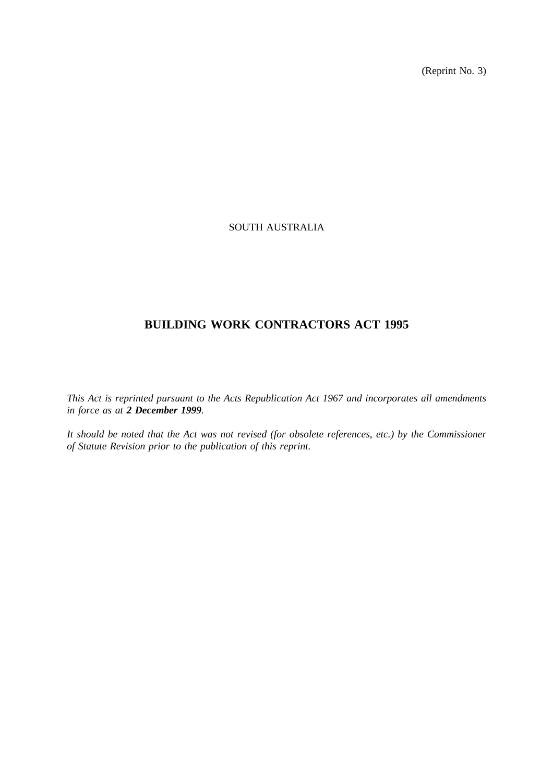(Reprint No. 3)

# SOUTH AUSTRALIA

# **BUILDING WORK CONTRACTORS ACT 1995**

*This Act is reprinted pursuant to the Acts Republication Act 1967 and incorporates all amendments in force as at 2 December 1999.*

*It should be noted that the Act was not revised (for obsolete references, etc.) by the Commissioner of Statute Revision prior to the publication of this reprint.*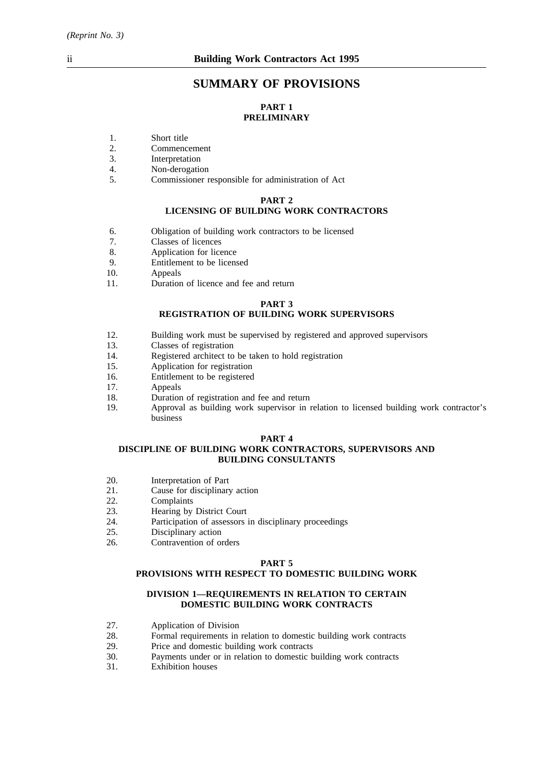# **SUMMARY OF PROVISIONS**

# **PART 1 PRELIMINARY**

- 1. Short title
- 2. Commencement
- 3. Interpretation
- 4. Non-derogation
- 5. Commissioner responsible for administration of Act

#### **PART 2**

### **LICENSING OF BUILDING WORK CONTRACTORS**

- 6. Obligation of building work contractors to be licensed
- 7. Classes of licences
- 8. Application for licence
- 9. Entitlement to be licensed<br>10. Appeals
- Appeals
- 11. Duration of licence and fee and return

#### **PART 3**

# **REGISTRATION OF BUILDING WORK SUPERVISORS**

- 12. Building work must be supervised by registered and approved supervisors 13.
- 13. Classes of registration<br>14 Registered architect to
- 14. Registered architect to be taken to hold registration<br>15. Application for registration
- Application for registration
- 16. Entitlement to be registered<br>17. Anneals
- Appeals
- 18. Duration of registration and fee and return
- 19. Approval as building work supervisor in relation to licensed building work contractor's business

#### **PART 4**

#### **DISCIPLINE OF BUILDING WORK CONTRACTORS, SUPERVISORS AND BUILDING CONSULTANTS**

- 20. Interpretation of Part
- 21. Cause for disciplinary action
- 22. Complaints
- 23. Hearing by District Court
- 24. Participation of assessors in disciplinary proceedings
- 25. Disciplinary action<br>26. Contravention of our
- Contravention of orders

#### **PART 5**

#### **PROVISIONS WITH RESPECT TO DOMESTIC BUILDING WORK**

#### **DIVISION 1—REQUIREMENTS IN RELATION TO CERTAIN DOMESTIC BUILDING WORK CONTRACTS**

- 27. Application of Division<br>28. Formal requirements in
- 28. Formal requirements in relation to domestic building work contracts 29. Price and domestic building work contracts
- Price and domestic building work contracts
- 30. Payments under or in relation to domestic building work contracts
- 31. Exhibition houses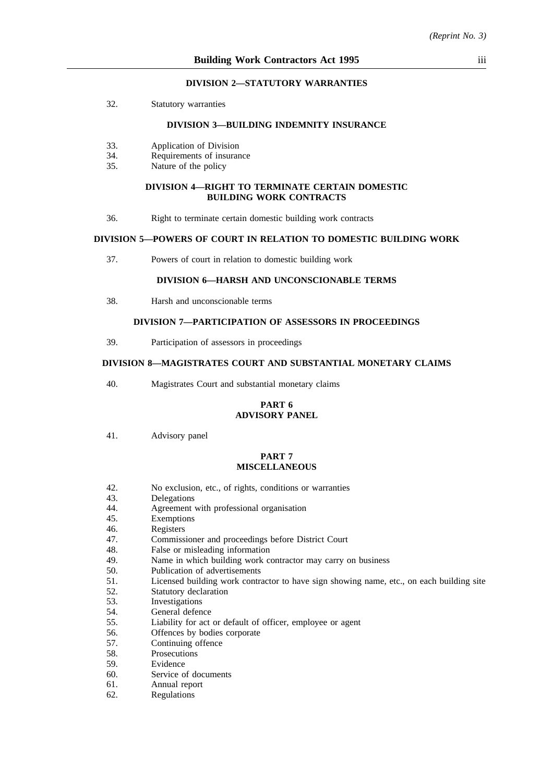#### **DIVISION 2—STATUTORY WARRANTIES**

32. Statutory warranties

#### **DIVISION 3—BUILDING INDEMNITY INSURANCE**

- 33. Application of Division
- 34. Requirements of insurance
- 35. Nature of the policy

#### **DIVISION 4—RIGHT TO TERMINATE CERTAIN DOMESTIC BUILDING WORK CONTRACTS**

36. Right to terminate certain domestic building work contracts

#### **DIVISION 5—POWERS OF COURT IN RELATION TO DOMESTIC BUILDING WORK**

37. Powers of court in relation to domestic building work

### **DIVISION 6—HARSH AND UNCONSCIONABLE TERMS**

38. Harsh and unconscionable terms

### **DIVISION 7—PARTICIPATION OF ASSESSORS IN PROCEEDINGS**

39. Participation of assessors in proceedings

### **DIVISION 8—MAGISTRATES COURT AND SUBSTANTIAL MONETARY CLAIMS**

40. Magistrates Court and substantial monetary claims

#### **PART 6 ADVISORY PANEL**

41. Advisory panel

#### **PART 7 MISCELLANEOUS**

- 42. No exclusion, etc., of rights, conditions or warranties
- 43. Delegations
- 44. Agreement with professional organisation
- 45. Exemptions
- 46. Registers
- 47. Commissioner and proceedings before District Court
- 48. False or misleading information
- 49. Name in which building work contractor may carry on business
- 50. Publication of advertisements
- 51. Licensed building work contractor to have sign showing name, etc., on each building site
- 52. Statutory declaration
- 53. Investigations
- 54. General defence
- 55. Liability for act or default of officer, employee or agent
- 56. Offences by bodies corporate
- 57. Continuing offence
- 58. Prosecutions
- 59. Evidence
- 60. Service of documents
- 61. Annual report
- 62. Regulations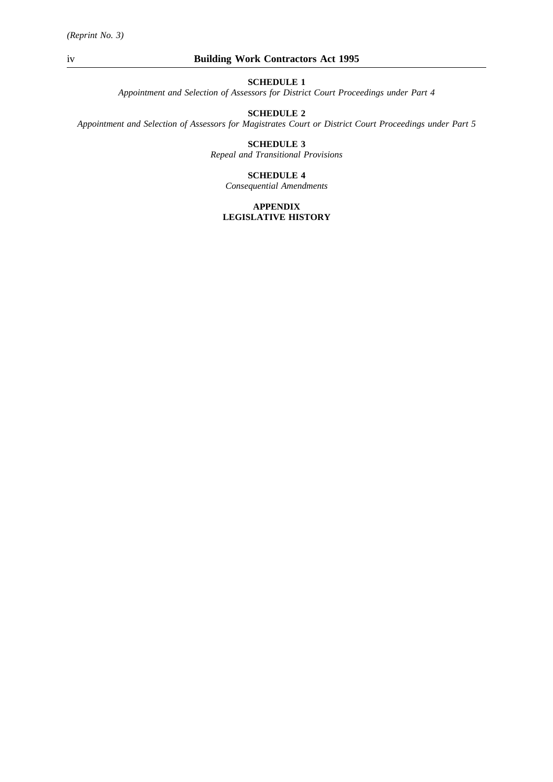*Appointment and Selection of Assessors for District Court Proceedings under Part 4*

# **SCHEDULE 2**

*Appointment and Selection of Assessors for Magistrates Court or District Court Proceedings under Part 5*

# **SCHEDULE 3**

*Repeal and Transitional Provisions*

#### **SCHEDULE 4**

*Consequential Amendments*

#### **APPENDIX LEGISLATIVE HISTORY**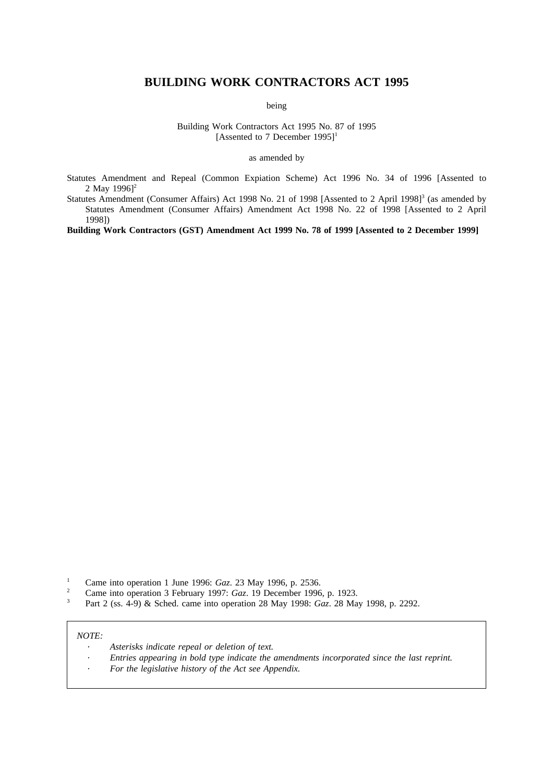# **BUILDING WORK CONTRACTORS ACT 1995**

being

Building Work Contractors Act 1995 No. 87 of 1995 [Assented to 7 December 1995]<sup>1</sup>

as amended by

Statutes Amendment and Repeal (Common Expiation Scheme) Act 1996 No. 34 of 1996 [Assented to 2 May  $1996$ <sup>2</sup>

Statutes Amendment (Consumer Affairs) Act 1998 No. 21 of 1998 [Assented to 2 April 1998]<sup>3</sup> (as amended by Statutes Amendment (Consumer Affairs) Amendment Act 1998 No. 22 of 1998 [Assented to 2 April 1998])

**Building Work Contractors (GST) Amendment Act 1999 No. 78 of 1999 [Assented to 2 December 1999]**

- <sup>1</sup> Came into operation 1 June 1996: *Gaz.* 23 May 1996, p. 2536.
- <sup>2</sup> Came into operation 3 February 1997: *Gaz*. 19 December 1996, p. 1923.<br><sup>3</sup> Part 2 (as 4.0) & Sabed same into operation 28 May 1908: *Car*, 28 May
- <sup>3</sup> Part 2 (ss. 4-9) & Sched. came into operation 28 May 1998: *Gaz*. 28 May 1998, p. 2292.

#### *NOTE:*

- *Asterisks indicate repeal or deletion of text.*
- *Entries appearing in bold type indicate the amendments incorporated since the last reprint.*
- *For the legislative history of the Act see Appendix.*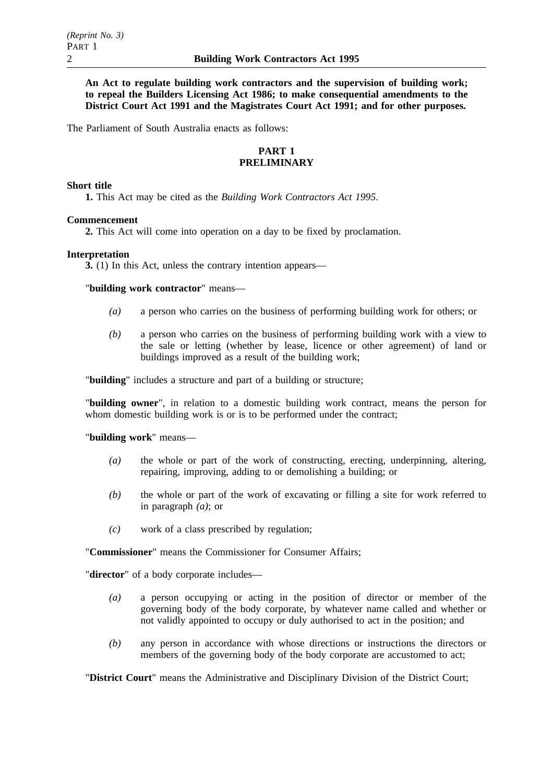**An Act to regulate building work contractors and the supervision of building work; to repeal the Builders Licensing Act 1986; to make consequential amendments to the District Court Act 1991 and the Magistrates Court Act 1991; and for other purposes.**

The Parliament of South Australia enacts as follows:

# **PART 1 PRELIMINARY**

### **Short title**

**1.** This Act may be cited as the *Building Work Contractors Act 1995*.

# **Commencement**

**2.** This Act will come into operation on a day to be fixed by proclamation.

#### **Interpretation**

**3.** (1) In this Act, unless the contrary intention appears—

"**building work contractor**" means—

- *(a)* a person who carries on the business of performing building work for others; or
- *(b)* a person who carries on the business of performing building work with a view to the sale or letting (whether by lease, licence or other agreement) of land or buildings improved as a result of the building work;

"**building**" includes a structure and part of a building or structure;

"**building owner**", in relation to a domestic building work contract, means the person for whom domestic building work is or is to be performed under the contract;

#### "**building work**" means—

- *(a)* the whole or part of the work of constructing, erecting, underpinning, altering, repairing, improving, adding to or demolishing a building; or
- *(b)* the whole or part of the work of excavating or filling a site for work referred to in paragraph *(a)*; or
- *(c)* work of a class prescribed by regulation;

"**Commissioner**" means the Commissioner for Consumer Affairs;

"**director**" of a body corporate includes—

- *(a)* a person occupying or acting in the position of director or member of the governing body of the body corporate, by whatever name called and whether or not validly appointed to occupy or duly authorised to act in the position; and
- *(b)* any person in accordance with whose directions or instructions the directors or members of the governing body of the body corporate are accustomed to act;

"**District Court**" means the Administrative and Disciplinary Division of the District Court;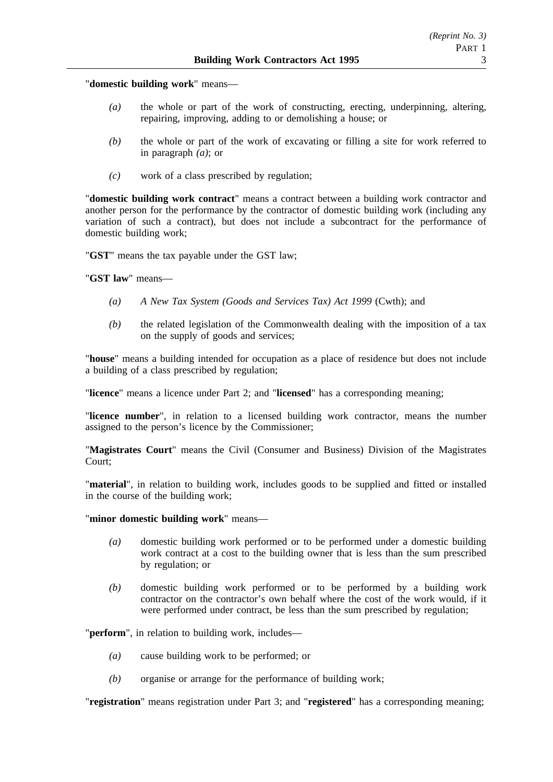*(Reprint No. 3)* PART 1

"**domestic building work**" means—

- *(a)* the whole or part of the work of constructing, erecting, underpinning, altering, repairing, improving, adding to or demolishing a house; or
- *(b)* the whole or part of the work of excavating or filling a site for work referred to in paragraph *(a)*; or
- *(c)* work of a class prescribed by regulation;

"**domestic building work contract**" means a contract between a building work contractor and another person for the performance by the contractor of domestic building work (including any variation of such a contract), but does not include a subcontract for the performance of domestic building work;

"**GST**" means the tax payable under the GST law;

"**GST law**" means—

- *(a) A New Tax System (Goods and Services Tax) Act 1999* (Cwth); and
- *(b)* the related legislation of the Commonwealth dealing with the imposition of a tax on the supply of goods and services;

"**house**" means a building intended for occupation as a place of residence but does not include a building of a class prescribed by regulation;

"**licence**" means a licence under Part 2; and "**licensed**" has a corresponding meaning;

"**licence number**", in relation to a licensed building work contractor, means the number assigned to the person's licence by the Commissioner;

"**Magistrates Court**" means the Civil (Consumer and Business) Division of the Magistrates Court;

"**material**", in relation to building work, includes goods to be supplied and fitted or installed in the course of the building work;

"**minor domestic building work**" means—

- *(a)* domestic building work performed or to be performed under a domestic building work contract at a cost to the building owner that is less than the sum prescribed by regulation; or
- *(b)* domestic building work performed or to be performed by a building work contractor on the contractor's own behalf where the cost of the work would, if it were performed under contract, be less than the sum prescribed by regulation;

"**perform**", in relation to building work, includes—

- *(a)* cause building work to be performed; or
- *(b)* organise or arrange for the performance of building work;

"**registration**" means registration under Part 3; and "**registered**" has a corresponding meaning;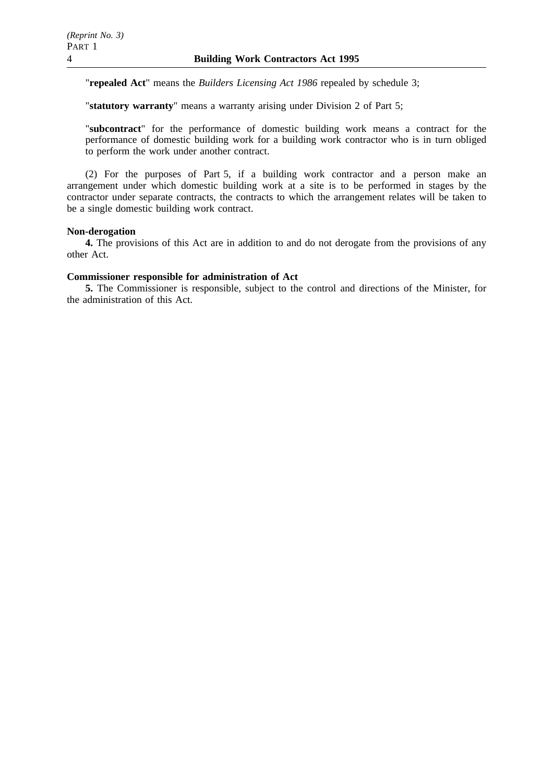"**repealed Act**" means the *Builders Licensing Act 1986* repealed by schedule 3;

"**statutory warranty**" means a warranty arising under Division 2 of Part 5;

"**subcontract**" for the performance of domestic building work means a contract for the performance of domestic building work for a building work contractor who is in turn obliged to perform the work under another contract.

(2) For the purposes of Part 5, if a building work contractor and a person make an arrangement under which domestic building work at a site is to be performed in stages by the contractor under separate contracts, the contracts to which the arrangement relates will be taken to be a single domestic building work contract.

### **Non-derogation**

**4.** The provisions of this Act are in addition to and do not derogate from the provisions of any other Act.

## **Commissioner responsible for administration of Act**

**5.** The Commissioner is responsible, subject to the control and directions of the Minister, for the administration of this Act.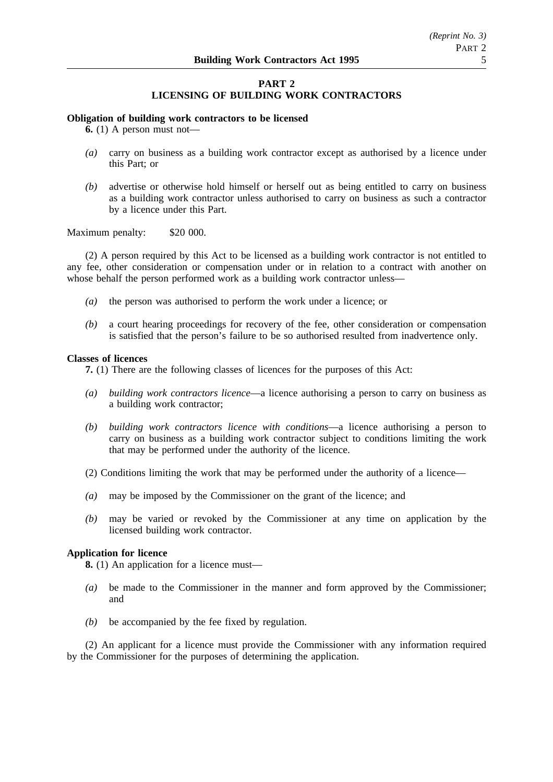# **PART 2 LICENSING OF BUILDING WORK CONTRACTORS**

#### **Obligation of building work contractors to be licensed**

**6.** (1) A person must not—

- *(a)* carry on business as a building work contractor except as authorised by a licence under this Part; or
- *(b)* advertise or otherwise hold himself or herself out as being entitled to carry on business as a building work contractor unless authorised to carry on business as such a contractor by a licence under this Part.

### Maximum penalty: \$20 000.

(2) A person required by this Act to be licensed as a building work contractor is not entitled to any fee, other consideration or compensation under or in relation to a contract with another on whose behalf the person performed work as a building work contractor unless—

- *(a)* the person was authorised to perform the work under a licence; or
- *(b)* a court hearing proceedings for recovery of the fee, other consideration or compensation is satisfied that the person's failure to be so authorised resulted from inadvertence only.

#### **Classes of licences**

**7.** (1) There are the following classes of licences for the purposes of this Act:

- *(a) building work contractors licence*—a licence authorising a person to carry on business as a building work contractor;
- *(b) building work contractors licence with conditions*—a licence authorising a person to carry on business as a building work contractor subject to conditions limiting the work that may be performed under the authority of the licence.
- (2) Conditions limiting the work that may be performed under the authority of a licence—
- *(a)* may be imposed by the Commissioner on the grant of the licence; and
- *(b)* may be varied or revoked by the Commissioner at any time on application by the licensed building work contractor.

### **Application for licence**

**8.** (1) An application for a licence must—

- *(a)* be made to the Commissioner in the manner and form approved by the Commissioner; and
- *(b)* be accompanied by the fee fixed by regulation.

(2) An applicant for a licence must provide the Commissioner with any information required by the Commissioner for the purposes of determining the application.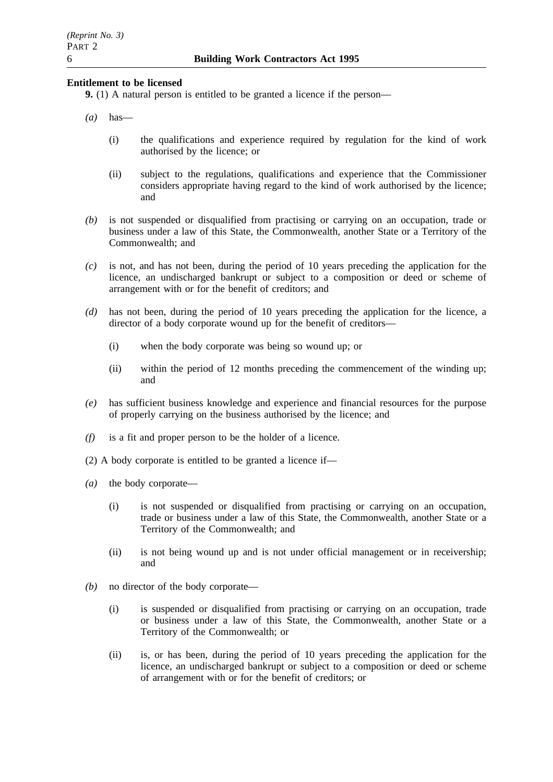### **Entitlement to be licensed**

**9.** (1) A natural person is entitled to be granted a licence if the person—

- *(a)* has—
	- (i) the qualifications and experience required by regulation for the kind of work authorised by the licence; or
	- (ii) subject to the regulations, qualifications and experience that the Commissioner considers appropriate having regard to the kind of work authorised by the licence; and
- *(b)* is not suspended or disqualified from practising or carrying on an occupation, trade or business under a law of this State, the Commonwealth, another State or a Territory of the Commonwealth; and
- *(c)* is not, and has not been, during the period of 10 years preceding the application for the licence, an undischarged bankrupt or subject to a composition or deed or scheme of arrangement with or for the benefit of creditors; and
- *(d)* has not been, during the period of 10 years preceding the application for the licence, a director of a body corporate wound up for the benefit of creditors—
	- (i) when the body corporate was being so wound up; or
	- (ii) within the period of 12 months preceding the commencement of the winding up; and
- *(e)* has sufficient business knowledge and experience and financial resources for the purpose of properly carrying on the business authorised by the licence; and
- *(f)* is a fit and proper person to be the holder of a licence.
- (2) A body corporate is entitled to be granted a licence if—
- *(a)* the body corporate—
	- (i) is not suspended or disqualified from practising or carrying on an occupation, trade or business under a law of this State, the Commonwealth, another State or a Territory of the Commonwealth; and
	- (ii) is not being wound up and is not under official management or in receivership; and
- *(b)* no director of the body corporate—
	- (i) is suspended or disqualified from practising or carrying on an occupation, trade or business under a law of this State, the Commonwealth, another State or a Territory of the Commonwealth; or
	- (ii) is, or has been, during the period of 10 years preceding the application for the licence, an undischarged bankrupt or subject to a composition or deed or scheme of arrangement with or for the benefit of creditors; or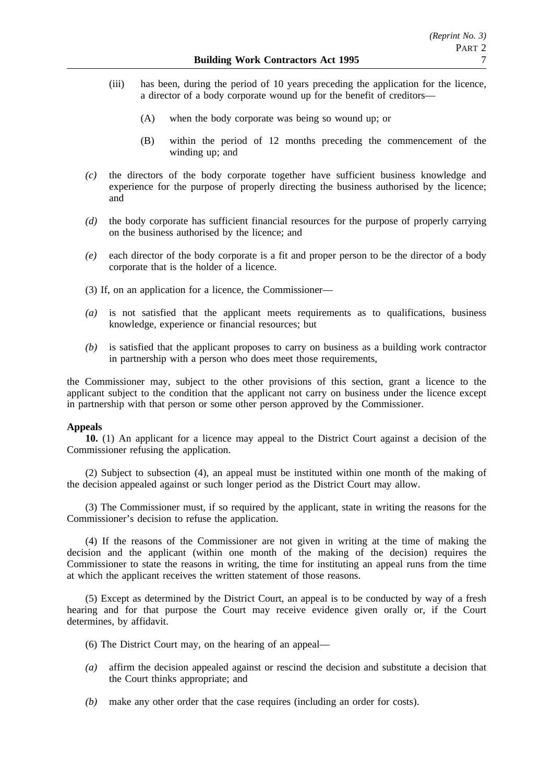- (iii) has been, during the period of 10 years preceding the application for the licence, a director of a body corporate wound up for the benefit of creditors—
	- (A) when the body corporate was being so wound up; or
	- (B) within the period of 12 months preceding the commencement of the winding up; and
- *(c)* the directors of the body corporate together have sufficient business knowledge and experience for the purpose of properly directing the business authorised by the licence; and
- *(d)* the body corporate has sufficient financial resources for the purpose of properly carrying on the business authorised by the licence; and
- *(e)* each director of the body corporate is a fit and proper person to be the director of a body corporate that is the holder of a licence.
- (3) If, on an application for a licence, the Commissioner—
- *(a)* is not satisfied that the applicant meets requirements as to qualifications, business knowledge, experience or financial resources; but
- *(b)* is satisfied that the applicant proposes to carry on business as a building work contractor in partnership with a person who does meet those requirements,

the Commissioner may, subject to the other provisions of this section, grant a licence to the applicant subject to the condition that the applicant not carry on business under the licence except in partnership with that person or some other person approved by the Commissioner.

### **Appeals**

**10.** (1) An applicant for a licence may appeal to the District Court against a decision of the Commissioner refusing the application.

(2) Subject to subsection (4), an appeal must be instituted within one month of the making of the decision appealed against or such longer period as the District Court may allow.

(3) The Commissioner must, if so required by the applicant, state in writing the reasons for the Commissioner's decision to refuse the application.

(4) If the reasons of the Commissioner are not given in writing at the time of making the decision and the applicant (within one month of the making of the decision) requires the Commissioner to state the reasons in writing, the time for instituting an appeal runs from the time at which the applicant receives the written statement of those reasons.

(5) Except as determined by the District Court, an appeal is to be conducted by way of a fresh hearing and for that purpose the Court may receive evidence given orally or, if the Court determines, by affidavit.

- (6) The District Court may, on the hearing of an appeal—
- *(a)* affirm the decision appealed against or rescind the decision and substitute a decision that the Court thinks appropriate; and
- *(b)* make any other order that the case requires (including an order for costs).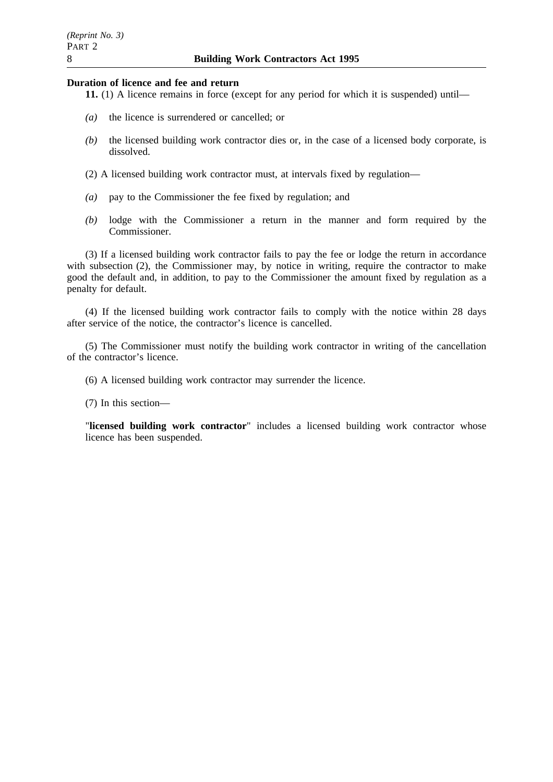#### **Duration of licence and fee and return**

- **11.** (1) A licence remains in force (except for any period for which it is suspended) until—
- *(a)* the licence is surrendered or cancelled; or
- *(b)* the licensed building work contractor dies or, in the case of a licensed body corporate, is dissolved.
- (2) A licensed building work contractor must, at intervals fixed by regulation—
- *(a)* pay to the Commissioner the fee fixed by regulation; and
- *(b)* lodge with the Commissioner a return in the manner and form required by the Commissioner.

(3) If a licensed building work contractor fails to pay the fee or lodge the return in accordance with subsection (2), the Commissioner may, by notice in writing, require the contractor to make good the default and, in addition, to pay to the Commissioner the amount fixed by regulation as a penalty for default.

(4) If the licensed building work contractor fails to comply with the notice within 28 days after service of the notice, the contractor's licence is cancelled.

(5) The Commissioner must notify the building work contractor in writing of the cancellation of the contractor's licence.

(6) A licensed building work contractor may surrender the licence.

(7) In this section—

"**licensed building work contractor**" includes a licensed building work contractor whose licence has been suspended.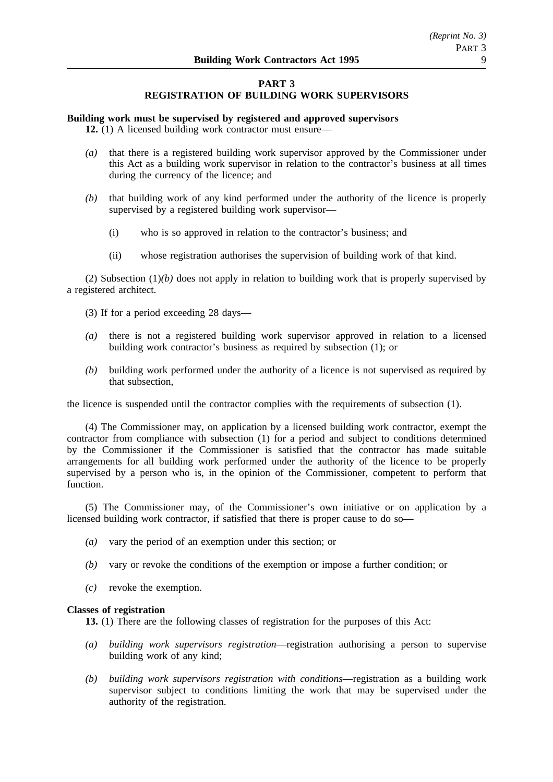# **PART 3 REGISTRATION OF BUILDING WORK SUPERVISORS**

### **Building work must be supervised by registered and approved supervisors**

**12.** (1) A licensed building work contractor must ensure—

- *(a)* that there is a registered building work supervisor approved by the Commissioner under this Act as a building work supervisor in relation to the contractor's business at all times during the currency of the licence; and
- *(b)* that building work of any kind performed under the authority of the licence is properly supervised by a registered building work supervisor—
	- (i) who is so approved in relation to the contractor's business; and
	- (ii) whose registration authorises the supervision of building work of that kind.

(2) Subsection  $(1)(b)$  does not apply in relation to building work that is properly supervised by a registered architect.

- (3) If for a period exceeding 28 days—
- *(a)* there is not a registered building work supervisor approved in relation to a licensed building work contractor's business as required by subsection (1); or
- *(b)* building work performed under the authority of a licence is not supervised as required by that subsection,

the licence is suspended until the contractor complies with the requirements of subsection (1).

(4) The Commissioner may, on application by a licensed building work contractor, exempt the contractor from compliance with subsection (1) for a period and subject to conditions determined by the Commissioner if the Commissioner is satisfied that the contractor has made suitable arrangements for all building work performed under the authority of the licence to be properly supervised by a person who is, in the opinion of the Commissioner, competent to perform that function.

(5) The Commissioner may, of the Commissioner's own initiative or on application by a licensed building work contractor, if satisfied that there is proper cause to do so—

- *(a)* vary the period of an exemption under this section; or
- *(b)* vary or revoke the conditions of the exemption or impose a further condition; or
- *(c)* revoke the exemption.

### **Classes of registration**

**13.** (1) There are the following classes of registration for the purposes of this Act:

- *(a) building work supervisors registration*—registration authorising a person to supervise building work of any kind;
- *(b) building work supervisors registration with conditions*—registration as a building work supervisor subject to conditions limiting the work that may be supervised under the authority of the registration.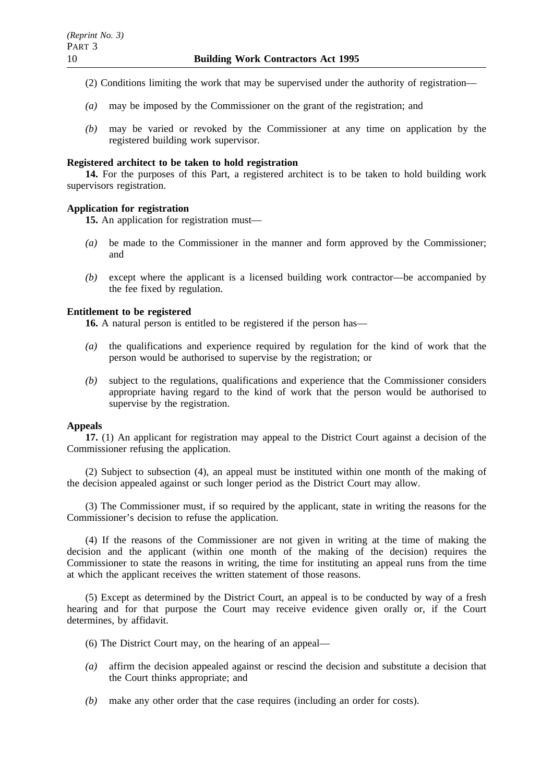- (2) Conditions limiting the work that may be supervised under the authority of registration—
- *(a)* may be imposed by the Commissioner on the grant of the registration; and
- *(b)* may be varied or revoked by the Commissioner at any time on application by the registered building work supervisor.

### **Registered architect to be taken to hold registration**

**14.** For the purposes of this Part, a registered architect is to be taken to hold building work supervisors registration.

### **Application for registration**

**15.** An application for registration must—

- *(a)* be made to the Commissioner in the manner and form approved by the Commissioner; and
- *(b)* except where the applicant is a licensed building work contractor—be accompanied by the fee fixed by regulation.

### **Entitlement to be registered**

**16.** A natural person is entitled to be registered if the person has—

- *(a)* the qualifications and experience required by regulation for the kind of work that the person would be authorised to supervise by the registration; or
- *(b)* subject to the regulations, qualifications and experience that the Commissioner considers appropriate having regard to the kind of work that the person would be authorised to supervise by the registration.

### **Appeals**

**17.** (1) An applicant for registration may appeal to the District Court against a decision of the Commissioner refusing the application.

(2) Subject to subsection (4), an appeal must be instituted within one month of the making of the decision appealed against or such longer period as the District Court may allow.

(3) The Commissioner must, if so required by the applicant, state in writing the reasons for the Commissioner's decision to refuse the application.

(4) If the reasons of the Commissioner are not given in writing at the time of making the decision and the applicant (within one month of the making of the decision) requires the Commissioner to state the reasons in writing, the time for instituting an appeal runs from the time at which the applicant receives the written statement of those reasons.

(5) Except as determined by the District Court, an appeal is to be conducted by way of a fresh hearing and for that purpose the Court may receive evidence given orally or, if the Court determines, by affidavit.

- (6) The District Court may, on the hearing of an appeal—
- *(a)* affirm the decision appealed against or rescind the decision and substitute a decision that the Court thinks appropriate; and
- *(b)* make any other order that the case requires (including an order for costs).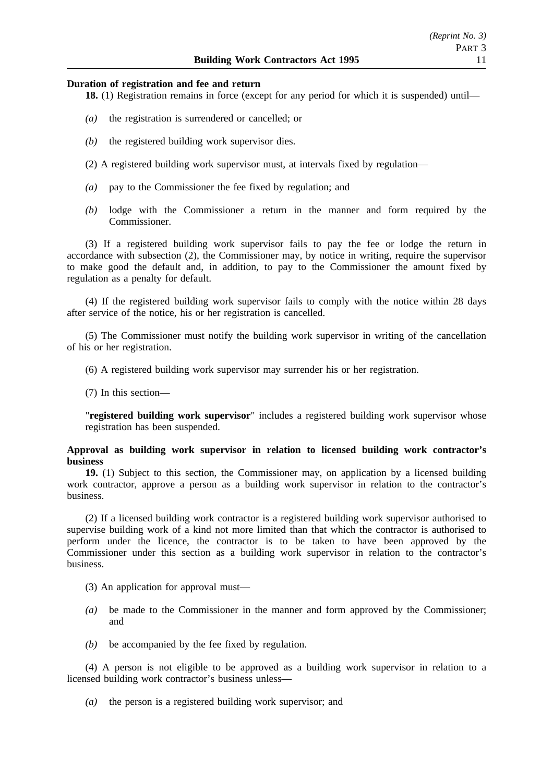#### **Duration of registration and fee and return**

**18.** (1) Registration remains in force (except for any period for which it is suspended) until—

- *(a)* the registration is surrendered or cancelled; or
- *(b)* the registered building work supervisor dies.
- (2) A registered building work supervisor must, at intervals fixed by regulation—
- *(a)* pay to the Commissioner the fee fixed by regulation; and
- *(b)* lodge with the Commissioner a return in the manner and form required by the Commissioner.

(3) If a registered building work supervisor fails to pay the fee or lodge the return in accordance with subsection (2), the Commissioner may, by notice in writing, require the supervisor to make good the default and, in addition, to pay to the Commissioner the amount fixed by regulation as a penalty for default.

(4) If the registered building work supervisor fails to comply with the notice within 28 days after service of the notice, his or her registration is cancelled.

(5) The Commissioner must notify the building work supervisor in writing of the cancellation of his or her registration.

(6) A registered building work supervisor may surrender his or her registration.

(7) In this section—

"**registered building work supervisor**" includes a registered building work supervisor whose registration has been suspended.

### **Approval as building work supervisor in relation to licensed building work contractor's business**

**19.** (1) Subject to this section, the Commissioner may, on application by a licensed building work contractor, approve a person as a building work supervisor in relation to the contractor's business.

(2) If a licensed building work contractor is a registered building work supervisor authorised to supervise building work of a kind not more limited than that which the contractor is authorised to perform under the licence, the contractor is to be taken to have been approved by the Commissioner under this section as a building work supervisor in relation to the contractor's business.

(3) An application for approval must—

- *(a)* be made to the Commissioner in the manner and form approved by the Commissioner; and
- *(b)* be accompanied by the fee fixed by regulation.

(4) A person is not eligible to be approved as a building work supervisor in relation to a licensed building work contractor's business unless—

*(a)* the person is a registered building work supervisor; and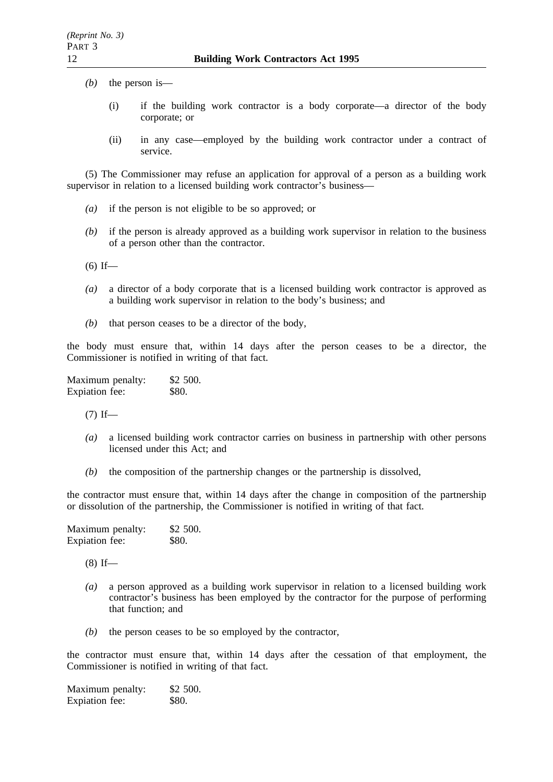- *(b)* the person is—
	- (i) if the building work contractor is a body corporate—a director of the body corporate; or
	- (ii) in any case—employed by the building work contractor under a contract of service.

(5) The Commissioner may refuse an application for approval of a person as a building work supervisor in relation to a licensed building work contractor's business—

- *(a)* if the person is not eligible to be so approved; or
- *(b)* if the person is already approved as a building work supervisor in relation to the business of a person other than the contractor.
- $(6)$  If—
- *(a)* a director of a body corporate that is a licensed building work contractor is approved as a building work supervisor in relation to the body's business; and
- *(b)* that person ceases to be a director of the body,

the body must ensure that, within 14 days after the person ceases to be a director, the Commissioner is notified in writing of that fact.

Maximum penalty: \$2 500. Expiation fee: \$80.

 $(7)$  If—

- *(a)* a licensed building work contractor carries on business in partnership with other persons licensed under this Act; and
- *(b)* the composition of the partnership changes or the partnership is dissolved,

the contractor must ensure that, within 14 days after the change in composition of the partnership or dissolution of the partnership, the Commissioner is notified in writing of that fact.

| Maximum penalty: | \$2 500. |
|------------------|----------|
| Expiation fee:   | \$80.    |

 $(8)$  If—

- *(a)* a person approved as a building work supervisor in relation to a licensed building work contractor's business has been employed by the contractor for the purpose of performing that function; and
- *(b)* the person ceases to be so employed by the contractor,

the contractor must ensure that, within 14 days after the cessation of that employment, the Commissioner is notified in writing of that fact.

Maximum penalty: \$2 500. Expiation fee: \$80.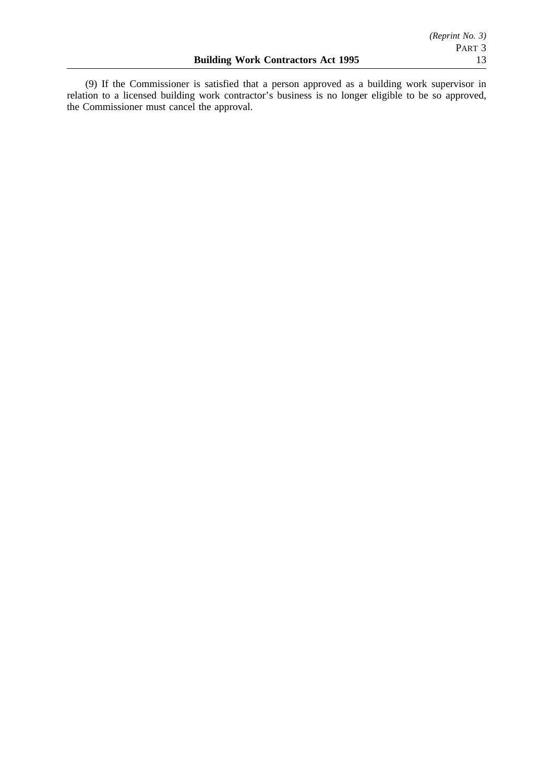(9) If the Commissioner is satisfied that a person approved as a building work supervisor in relation to a licensed building work contractor's business is no longer eligible to be so approved, the Commissioner must cancel the approval.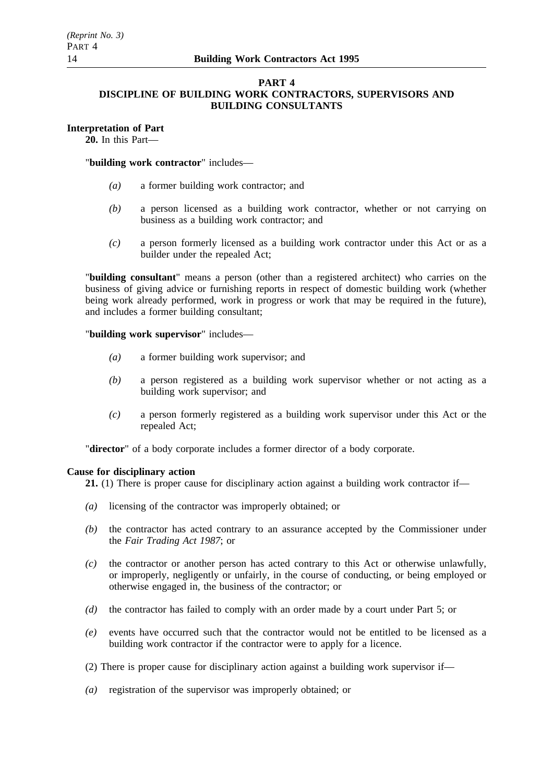# **PART 4**

# **DISCIPLINE OF BUILDING WORK CONTRACTORS, SUPERVISORS AND BUILDING CONSULTANTS**

# **Interpretation of Part**

**20.** In this Part—

## "**building work contractor**" includes—

- *(a)* a former building work contractor; and
- *(b)* a person licensed as a building work contractor, whether or not carrying on business as a building work contractor; and
- *(c)* a person formerly licensed as a building work contractor under this Act or as a builder under the repealed Act;

"**building consultant**" means a person (other than a registered architect) who carries on the business of giving advice or furnishing reports in respect of domestic building work (whether being work already performed, work in progress or work that may be required in the future), and includes a former building consultant;

"**building work supervisor**" includes—

- *(a)* a former building work supervisor; and
- *(b)* a person registered as a building work supervisor whether or not acting as a building work supervisor; and
- *(c)* a person formerly registered as a building work supervisor under this Act or the repealed Act;

"**director**" of a body corporate includes a former director of a body corporate.

### **Cause for disciplinary action**

**21.** (1) There is proper cause for disciplinary action against a building work contractor if—

- *(a)* licensing of the contractor was improperly obtained; or
- *(b)* the contractor has acted contrary to an assurance accepted by the Commissioner under the *Fair Trading Act 1987*; or
- *(c)* the contractor or another person has acted contrary to this Act or otherwise unlawfully, or improperly, negligently or unfairly, in the course of conducting, or being employed or otherwise engaged in, the business of the contractor; or
- *(d)* the contractor has failed to comply with an order made by a court under Part 5; or
- *(e)* events have occurred such that the contractor would not be entitled to be licensed as a building work contractor if the contractor were to apply for a licence.
- (2) There is proper cause for disciplinary action against a building work supervisor if—
- *(a)* registration of the supervisor was improperly obtained; or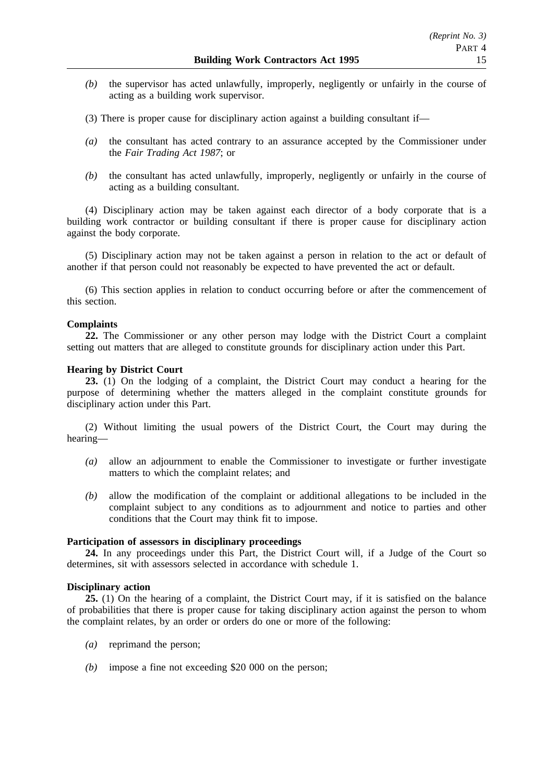- *(b)* the supervisor has acted unlawfully, improperly, negligently or unfairly in the course of acting as a building work supervisor.
- (3) There is proper cause for disciplinary action against a building consultant if—
- *(a)* the consultant has acted contrary to an assurance accepted by the Commissioner under the *Fair Trading Act 1987*; or
- *(b)* the consultant has acted unlawfully, improperly, negligently or unfairly in the course of acting as a building consultant.

(4) Disciplinary action may be taken against each director of a body corporate that is a building work contractor or building consultant if there is proper cause for disciplinary action against the body corporate.

(5) Disciplinary action may not be taken against a person in relation to the act or default of another if that person could not reasonably be expected to have prevented the act or default.

(6) This section applies in relation to conduct occurring before or after the commencement of this section.

### **Complaints**

**22.** The Commissioner or any other person may lodge with the District Court a complaint setting out matters that are alleged to constitute grounds for disciplinary action under this Part.

### **Hearing by District Court**

**23.** (1) On the lodging of a complaint, the District Court may conduct a hearing for the purpose of determining whether the matters alleged in the complaint constitute grounds for disciplinary action under this Part.

(2) Without limiting the usual powers of the District Court, the Court may during the hearing—

- *(a)* allow an adjournment to enable the Commissioner to investigate or further investigate matters to which the complaint relates; and
- *(b)* allow the modification of the complaint or additional allegations to be included in the complaint subject to any conditions as to adjournment and notice to parties and other conditions that the Court may think fit to impose.

### **Participation of assessors in disciplinary proceedings**

24. In any proceedings under this Part, the District Court will, if a Judge of the Court so determines, sit with assessors selected in accordance with schedule 1.

### **Disciplinary action**

**25.** (1) On the hearing of a complaint, the District Court may, if it is satisfied on the balance of probabilities that there is proper cause for taking disciplinary action against the person to whom the complaint relates, by an order or orders do one or more of the following:

- *(a)* reprimand the person;
- *(b)* impose a fine not exceeding \$20 000 on the person;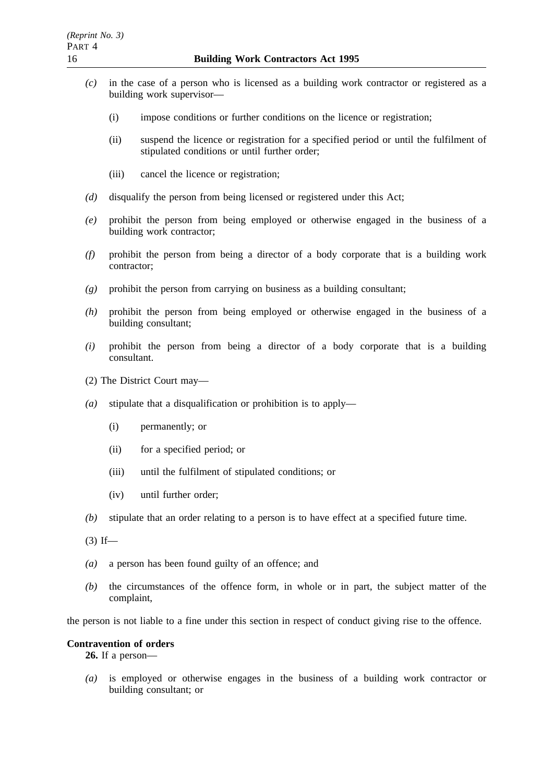- *(c)* in the case of a person who is licensed as a building work contractor or registered as a building work supervisor—
	- (i) impose conditions or further conditions on the licence or registration;
	- (ii) suspend the licence or registration for a specified period or until the fulfilment of stipulated conditions or until further order;
	- (iii) cancel the licence or registration;
- *(d)* disqualify the person from being licensed or registered under this Act;
- *(e)* prohibit the person from being employed or otherwise engaged in the business of a building work contractor;
- *(f)* prohibit the person from being a director of a body corporate that is a building work contractor;
- *(g)* prohibit the person from carrying on business as a building consultant;
- *(h)* prohibit the person from being employed or otherwise engaged in the business of a building consultant;
- *(i)* prohibit the person from being a director of a body corporate that is a building consultant.
- (2) The District Court may—
- *(a)* stipulate that a disqualification or prohibition is to apply—
	- (i) permanently; or
	- (ii) for a specified period; or
	- (iii) until the fulfilment of stipulated conditions; or
	- (iv) until further order;
- *(b)* stipulate that an order relating to a person is to have effect at a specified future time.
- $(3)$  If—
- *(a)* a person has been found guilty of an offence; and
- *(b)* the circumstances of the offence form, in whole or in part, the subject matter of the complaint,

the person is not liable to a fine under this section in respect of conduct giving rise to the offence.

### **Contravention of orders**

**26.** If a person—

*(a)* is employed or otherwise engages in the business of a building work contractor or building consultant; or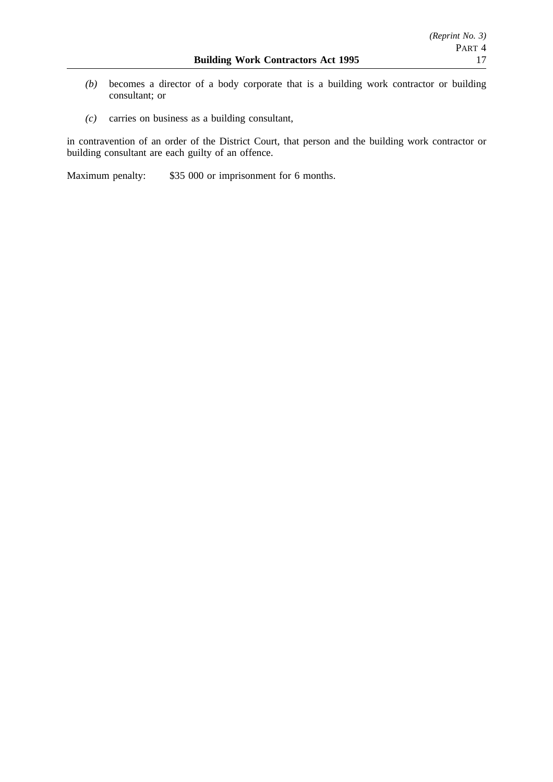- *(b)* becomes a director of a body corporate that is a building work contractor or building consultant; or
- *(c)* carries on business as a building consultant,

in contravention of an order of the District Court, that person and the building work contractor or building consultant are each guilty of an offence.

Maximum penalty: \$35 000 or imprisonment for 6 months.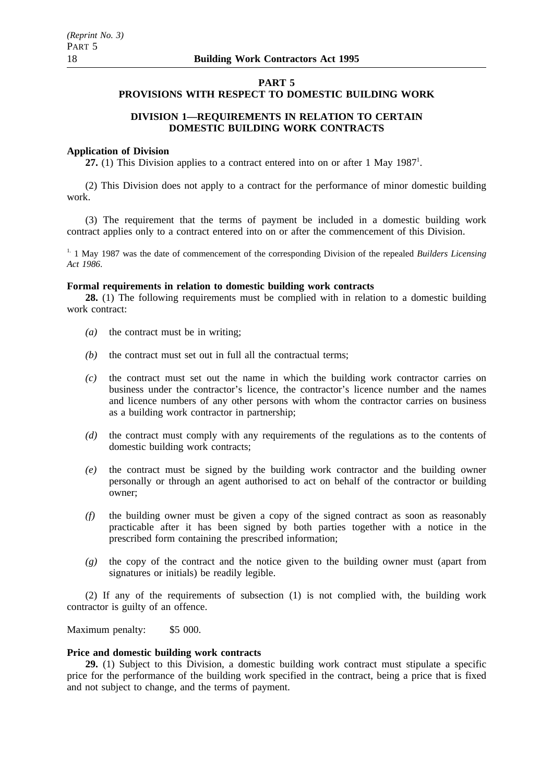# **PART 5**

# **PROVISIONS WITH RESPECT TO DOMESTIC BUILDING WORK**

# **DIVISION 1—REQUIREMENTS IN RELATION TO CERTAIN DOMESTIC BUILDING WORK CONTRACTS**

#### **Application of Division**

27. (1) This Division applies to a contract entered into on or after 1 May 1987<sup>1</sup>.

(2) This Division does not apply to a contract for the performance of minor domestic building work.

(3) The requirement that the terms of payment be included in a domestic building work contract applies only to a contract entered into on or after the commencement of this Division.

<sup>1.</sup> 1 May 1987 was the date of commencement of the corresponding Division of the repealed *Builders Licensing Act 1986*.

#### **Formal requirements in relation to domestic building work contracts**

**28.** (1) The following requirements must be complied with in relation to a domestic building work contract:

- *(a)* the contract must be in writing;
- *(b)* the contract must set out in full all the contractual terms;
- *(c)* the contract must set out the name in which the building work contractor carries on business under the contractor's licence, the contractor's licence number and the names and licence numbers of any other persons with whom the contractor carries on business as a building work contractor in partnership;
- *(d)* the contract must comply with any requirements of the regulations as to the contents of domestic building work contracts;
- *(e)* the contract must be signed by the building work contractor and the building owner personally or through an agent authorised to act on behalf of the contractor or building owner;
- *(f)* the building owner must be given a copy of the signed contract as soon as reasonably practicable after it has been signed by both parties together with a notice in the prescribed form containing the prescribed information;
- *(g)* the copy of the contract and the notice given to the building owner must (apart from signatures or initials) be readily legible.

(2) If any of the requirements of subsection (1) is not complied with, the building work contractor is guilty of an offence.

Maximum penalty: \$5 000.

#### **Price and domestic building work contracts**

**29.** (1) Subject to this Division, a domestic building work contract must stipulate a specific price for the performance of the building work specified in the contract, being a price that is fixed and not subject to change, and the terms of payment.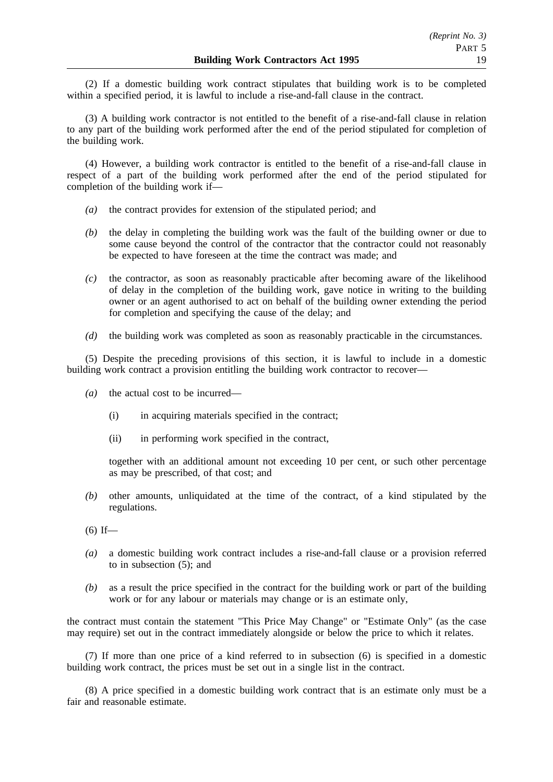(2) If a domestic building work contract stipulates that building work is to be completed within a specified period, it is lawful to include a rise-and-fall clause in the contract.

(3) A building work contractor is not entitled to the benefit of a rise-and-fall clause in relation to any part of the building work performed after the end of the period stipulated for completion of the building work.

(4) However, a building work contractor is entitled to the benefit of a rise-and-fall clause in respect of a part of the building work performed after the end of the period stipulated for completion of the building work if—

- *(a)* the contract provides for extension of the stipulated period; and
- *(b)* the delay in completing the building work was the fault of the building owner or due to some cause beyond the control of the contractor that the contractor could not reasonably be expected to have foreseen at the time the contract was made; and
- *(c)* the contractor, as soon as reasonably practicable after becoming aware of the likelihood of delay in the completion of the building work, gave notice in writing to the building owner or an agent authorised to act on behalf of the building owner extending the period for completion and specifying the cause of the delay; and
- *(d)* the building work was completed as soon as reasonably practicable in the circumstances.

(5) Despite the preceding provisions of this section, it is lawful to include in a domestic building work contract a provision entitling the building work contractor to recover—

- *(a)* the actual cost to be incurred—
	- (i) in acquiring materials specified in the contract;
	- (ii) in performing work specified in the contract,

together with an additional amount not exceeding 10 per cent, or such other percentage as may be prescribed, of that cost; and

*(b)* other amounts, unliquidated at the time of the contract, of a kind stipulated by the regulations.

- *(a)* a domestic building work contract includes a rise-and-fall clause or a provision referred to in subsection (5); and
- *(b)* as a result the price specified in the contract for the building work or part of the building work or for any labour or materials may change or is an estimate only,

the contract must contain the statement "This Price May Change" or "Estimate Only" (as the case may require) set out in the contract immediately alongside or below the price to which it relates.

(7) If more than one price of a kind referred to in subsection (6) is specified in a domestic building work contract, the prices must be set out in a single list in the contract.

(8) A price specified in a domestic building work contract that is an estimate only must be a fair and reasonable estimate.

 $(6)$  If—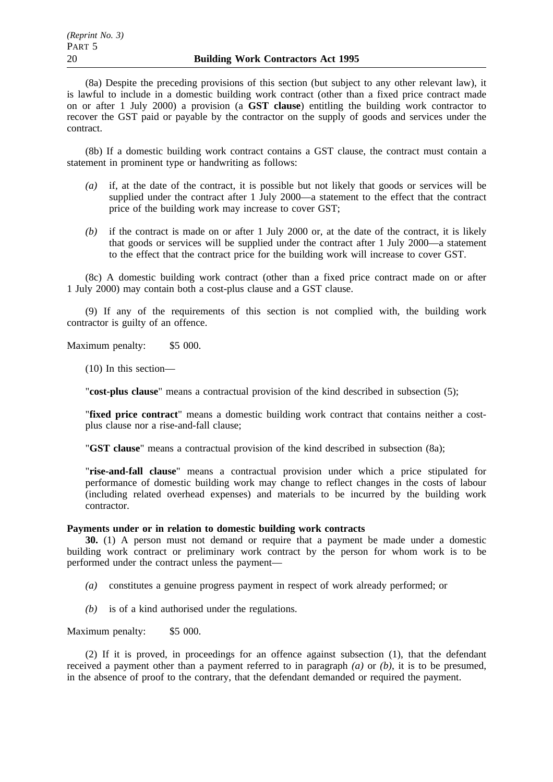(8a) Despite the preceding provisions of this section (but subject to any other relevant law), it is lawful to include in a domestic building work contract (other than a fixed price contract made on or after 1 July 2000) a provision (a **GST clause**) entitling the building work contractor to recover the GST paid or payable by the contractor on the supply of goods and services under the contract.

(8b) If a domestic building work contract contains a GST clause, the contract must contain a statement in prominent type or handwriting as follows:

- *(a)* if, at the date of the contract, it is possible but not likely that goods or services will be supplied under the contract after 1 July 2000—a statement to the effect that the contract price of the building work may increase to cover GST;
- *(b)* if the contract is made on or after 1 July 2000 or, at the date of the contract, it is likely that goods or services will be supplied under the contract after 1 July 2000—a statement to the effect that the contract price for the building work will increase to cover GST.

(8c) A domestic building work contract (other than a fixed price contract made on or after 1 July 2000) may contain both a cost-plus clause and a GST clause.

(9) If any of the requirements of this section is not complied with, the building work contractor is guilty of an offence.

Maximum penalty: \$5 000.

(10) In this section—

"**cost-plus clause**" means a contractual provision of the kind described in subsection (5);

"**fixed price contract**" means a domestic building work contract that contains neither a costplus clause nor a rise-and-fall clause;

"**GST clause**" means a contractual provision of the kind described in subsection (8a);

"**rise-and-fall clause**" means a contractual provision under which a price stipulated for performance of domestic building work may change to reflect changes in the costs of labour (including related overhead expenses) and materials to be incurred by the building work contractor.

### **Payments under or in relation to domestic building work contracts**

**30.** (1) A person must not demand or require that a payment be made under a domestic building work contract or preliminary work contract by the person for whom work is to be performed under the contract unless the payment—

- *(a)* constitutes a genuine progress payment in respect of work already performed; or
- *(b)* is of a kind authorised under the regulations.

#### Maximum penalty: \$5 000.

(2) If it is proved, in proceedings for an offence against subsection (1), that the defendant received a payment other than a payment referred to in paragraph *(a)* or *(b)*, it is to be presumed, in the absence of proof to the contrary, that the defendant demanded or required the payment.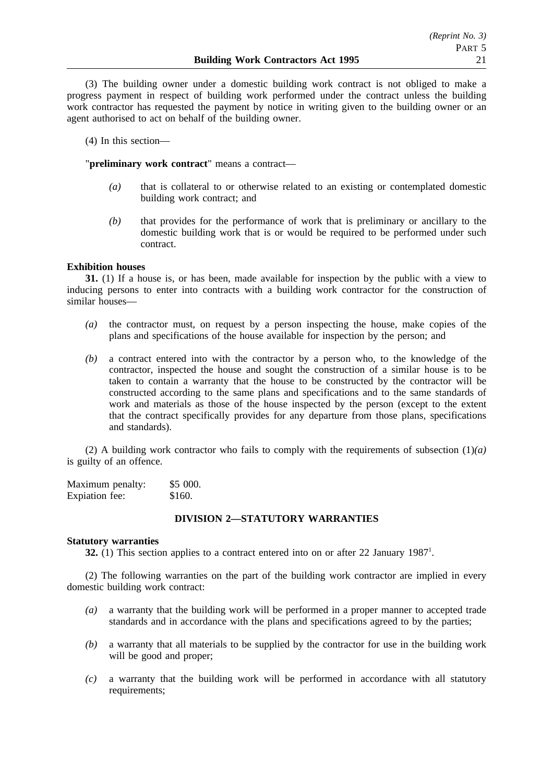(3) The building owner under a domestic building work contract is not obliged to make a progress payment in respect of building work performed under the contract unless the building work contractor has requested the payment by notice in writing given to the building owner or an agent authorised to act on behalf of the building owner.

(4) In this section—

"**preliminary work contract**" means a contract—

- *(a)* that is collateral to or otherwise related to an existing or contemplated domestic building work contract; and
- *(b)* that provides for the performance of work that is preliminary or ancillary to the domestic building work that is or would be required to be performed under such contract.

### **Exhibition houses**

**31.** (1) If a house is, or has been, made available for inspection by the public with a view to inducing persons to enter into contracts with a building work contractor for the construction of similar houses—

- *(a)* the contractor must, on request by a person inspecting the house, make copies of the plans and specifications of the house available for inspection by the person; and
- *(b)* a contract entered into with the contractor by a person who, to the knowledge of the contractor, inspected the house and sought the construction of a similar house is to be taken to contain a warranty that the house to be constructed by the contractor will be constructed according to the same plans and specifications and to the same standards of work and materials as those of the house inspected by the person (except to the extent that the contract specifically provides for any departure from those plans, specifications and standards).

(2) A building work contractor who fails to comply with the requirements of subsection (1)*(a)* is guilty of an offence.

| Maximum penalty: | \$5000. |
|------------------|---------|
| Expiation fee:   | \$160.  |

### **DIVISION 2—STATUTORY WARRANTIES**

### **Statutory warranties**

**32.** (1) This section applies to a contract entered into on or after 22 January 1987<sup>1</sup>.

(2) The following warranties on the part of the building work contractor are implied in every domestic building work contract:

- *(a)* a warranty that the building work will be performed in a proper manner to accepted trade standards and in accordance with the plans and specifications agreed to by the parties;
- *(b)* a warranty that all materials to be supplied by the contractor for use in the building work will be good and proper;
- *(c)* a warranty that the building work will be performed in accordance with all statutory requirements;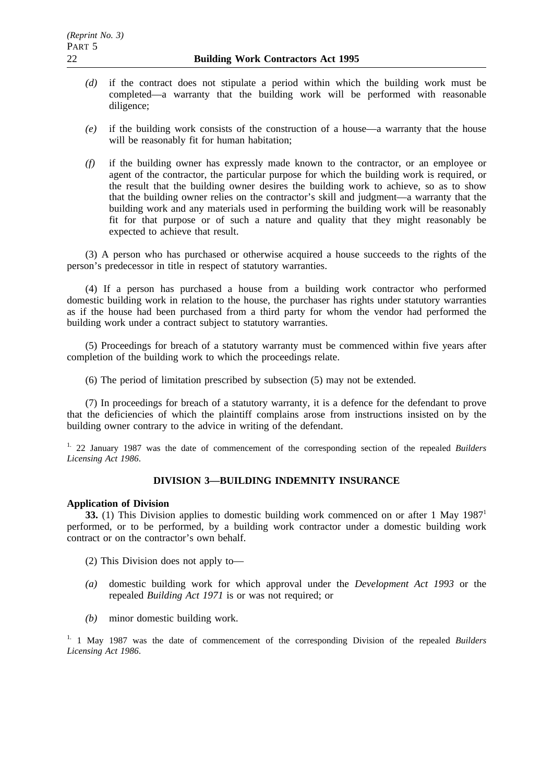- *(d)* if the contract does not stipulate a period within which the building work must be completed—a warranty that the building work will be performed with reasonable diligence;
- *(e)* if the building work consists of the construction of a house—a warranty that the house will be reasonably fit for human habitation;
- *(f)* if the building owner has expressly made known to the contractor, or an employee or agent of the contractor, the particular purpose for which the building work is required, or the result that the building owner desires the building work to achieve, so as to show that the building owner relies on the contractor's skill and judgment—a warranty that the building work and any materials used in performing the building work will be reasonably fit for that purpose or of such a nature and quality that they might reasonably be expected to achieve that result.

(3) A person who has purchased or otherwise acquired a house succeeds to the rights of the person's predecessor in title in respect of statutory warranties.

(4) If a person has purchased a house from a building work contractor who performed domestic building work in relation to the house, the purchaser has rights under statutory warranties as if the house had been purchased from a third party for whom the vendor had performed the building work under a contract subject to statutory warranties.

(5) Proceedings for breach of a statutory warranty must be commenced within five years after completion of the building work to which the proceedings relate.

(6) The period of limitation prescribed by subsection (5) may not be extended.

(7) In proceedings for breach of a statutory warranty, it is a defence for the defendant to prove that the deficiencies of which the plaintiff complains arose from instructions insisted on by the building owner contrary to the advice in writing of the defendant.

1. 22 January 1987 was the date of commencement of the corresponding section of the repealed *Builders Licensing Act 1986*.

# **DIVISION 3—BUILDING INDEMNITY INSURANCE**

# **Application of Division**

**33.** (1) This Division applies to domestic building work commenced on or after 1 May 1987<sup>1</sup> performed, or to be performed, by a building work contractor under a domestic building work contract or on the contractor's own behalf.

(2) This Division does not apply to—

- *(a)* domestic building work for which approval under the *Development Act 1993* or the repealed *Building Act 1971* is or was not required; or
- *(b)* minor domestic building work.

1. 1 May 1987 was the date of commencement of the corresponding Division of the repealed *Builders Licensing Act 1986*.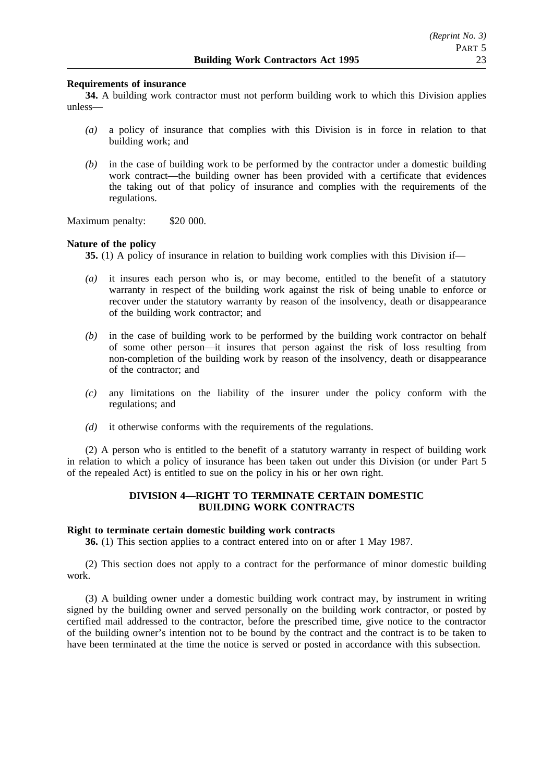### **Requirements of insurance**

**34.** A building work contractor must not perform building work to which this Division applies unless—

- *(a)* a policy of insurance that complies with this Division is in force in relation to that building work; and
- *(b)* in the case of building work to be performed by the contractor under a domestic building work contract—the building owner has been provided with a certificate that evidences the taking out of that policy of insurance and complies with the requirements of the regulations.

Maximum penalty: \$20 000.

#### **Nature of the policy**

**35.** (1) A policy of insurance in relation to building work complies with this Division if—

- *(a)* it insures each person who is, or may become, entitled to the benefit of a statutory warranty in respect of the building work against the risk of being unable to enforce or recover under the statutory warranty by reason of the insolvency, death or disappearance of the building work contractor; and
- *(b)* in the case of building work to be performed by the building work contractor on behalf of some other person—it insures that person against the risk of loss resulting from non-completion of the building work by reason of the insolvency, death or disappearance of the contractor; and
- *(c)* any limitations on the liability of the insurer under the policy conform with the regulations; and
- *(d)* it otherwise conforms with the requirements of the regulations.

(2) A person who is entitled to the benefit of a statutory warranty in respect of building work in relation to which a policy of insurance has been taken out under this Division (or under Part 5 of the repealed Act) is entitled to sue on the policy in his or her own right.

### **DIVISION 4—RIGHT TO TERMINATE CERTAIN DOMESTIC BUILDING WORK CONTRACTS**

# **Right to terminate certain domestic building work contracts**

**36.** (1) This section applies to a contract entered into on or after 1 May 1987.

(2) This section does not apply to a contract for the performance of minor domestic building work.

(3) A building owner under a domestic building work contract may, by instrument in writing signed by the building owner and served personally on the building work contractor, or posted by certified mail addressed to the contractor, before the prescribed time, give notice to the contractor of the building owner's intention not to be bound by the contract and the contract is to be taken to have been terminated at the time the notice is served or posted in accordance with this subsection.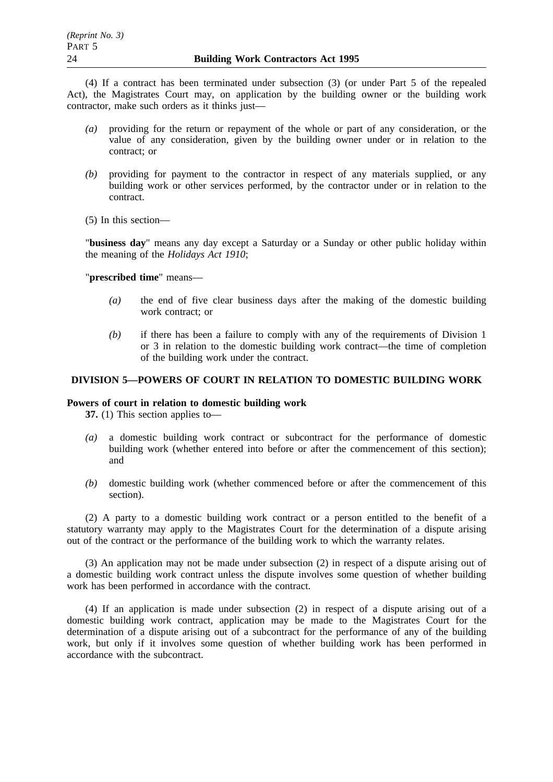(4) If a contract has been terminated under subsection (3) (or under Part 5 of the repealed Act), the Magistrates Court may, on application by the building owner or the building work contractor, make such orders as it thinks just—

- *(a)* providing for the return or repayment of the whole or part of any consideration, or the value of any consideration, given by the building owner under or in relation to the contract; or
- *(b)* providing for payment to the contractor in respect of any materials supplied, or any building work or other services performed, by the contractor under or in relation to the contract.
- (5) In this section—

"**business day**" means any day except a Saturday or a Sunday or other public holiday within the meaning of the *Holidays Act 1910*;

"**prescribed time**" means—

- *(a)* the end of five clear business days after the making of the domestic building work contract; or
- *(b)* if there has been a failure to comply with any of the requirements of Division 1 or 3 in relation to the domestic building work contract—the time of completion of the building work under the contract.

### **DIVISION 5—POWERS OF COURT IN RELATION TO DOMESTIC BUILDING WORK**

### **Powers of court in relation to domestic building work**

**37.** (1) This section applies to—

- *(a)* a domestic building work contract or subcontract for the performance of domestic building work (whether entered into before or after the commencement of this section); and
- *(b)* domestic building work (whether commenced before or after the commencement of this section).

(2) A party to a domestic building work contract or a person entitled to the benefit of a statutory warranty may apply to the Magistrates Court for the determination of a dispute arising out of the contract or the performance of the building work to which the warranty relates.

(3) An application may not be made under subsection (2) in respect of a dispute arising out of a domestic building work contract unless the dispute involves some question of whether building work has been performed in accordance with the contract.

(4) If an application is made under subsection (2) in respect of a dispute arising out of a domestic building work contract, application may be made to the Magistrates Court for the determination of a dispute arising out of a subcontract for the performance of any of the building work, but only if it involves some question of whether building work has been performed in accordance with the subcontract.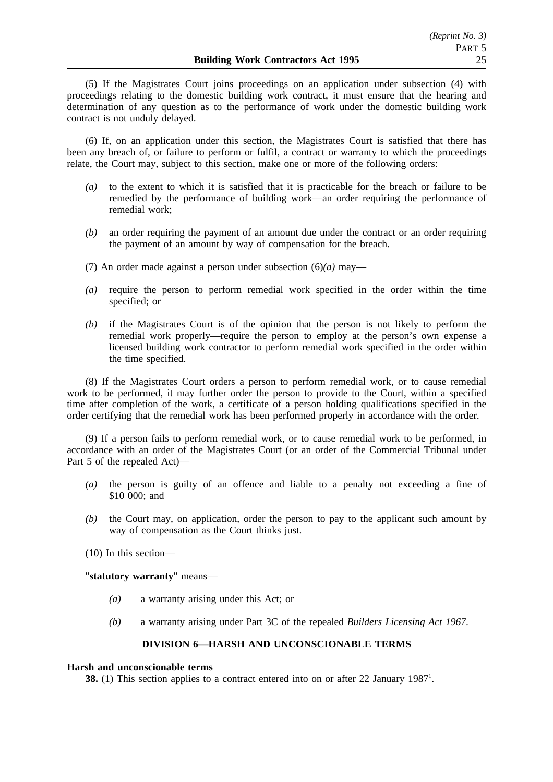(5) If the Magistrates Court joins proceedings on an application under subsection (4) with proceedings relating to the domestic building work contract, it must ensure that the hearing and determination of any question as to the performance of work under the domestic building work contract is not unduly delayed.

(6) If, on an application under this section, the Magistrates Court is satisfied that there has been any breach of, or failure to perform or fulfil, a contract or warranty to which the proceedings relate, the Court may, subject to this section, make one or more of the following orders:

- *(a)* to the extent to which it is satisfied that it is practicable for the breach or failure to be remedied by the performance of building work—an order requiring the performance of remedial work;
- *(b)* an order requiring the payment of an amount due under the contract or an order requiring the payment of an amount by way of compensation for the breach.
- (7) An order made against a person under subsection (6)*(a)* may—
- *(a)* require the person to perform remedial work specified in the order within the time specified; or
- *(b)* if the Magistrates Court is of the opinion that the person is not likely to perform the remedial work properly—require the person to employ at the person's own expense a licensed building work contractor to perform remedial work specified in the order within the time specified.

(8) If the Magistrates Court orders a person to perform remedial work, or to cause remedial work to be performed, it may further order the person to provide to the Court, within a specified time after completion of the work, a certificate of a person holding qualifications specified in the order certifying that the remedial work has been performed properly in accordance with the order.

(9) If a person fails to perform remedial work, or to cause remedial work to be performed, in accordance with an order of the Magistrates Court (or an order of the Commercial Tribunal under Part 5 of the repealed Act)—

- *(a)* the person is guilty of an offence and liable to a penalty not exceeding a fine of \$10,000; and
- *(b)* the Court may, on application, order the person to pay to the applicant such amount by way of compensation as the Court thinks just.
- (10) In this section—

"**statutory warranty**" means—

- *(a)* a warranty arising under this Act; or
- *(b)* a warranty arising under Part 3C of the repealed *Builders Licensing Act 1967*.

# **DIVISION 6—HARSH AND UNCONSCIONABLE TERMS**

#### **Harsh and unconscionable terms**

**38.** (1) This section applies to a contract entered into on or after 22 January 1987<sup>1</sup>.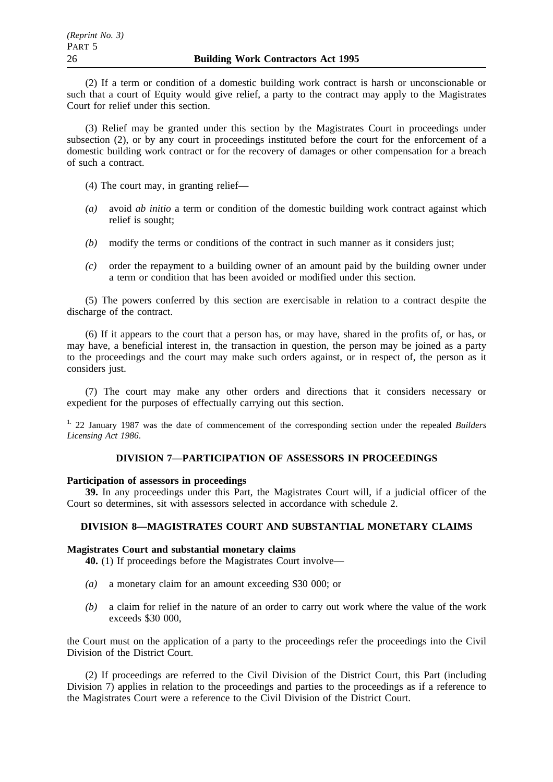(2) If a term or condition of a domestic building work contract is harsh or unconscionable or such that a court of Equity would give relief, a party to the contract may apply to the Magistrates Court for relief under this section.

(3) Relief may be granted under this section by the Magistrates Court in proceedings under subsection (2), or by any court in proceedings instituted before the court for the enforcement of a domestic building work contract or for the recovery of damages or other compensation for a breach of such a contract.

(4) The court may, in granting relief—

- *(a)* avoid *ab initio* a term or condition of the domestic building work contract against which relief is sought;
- *(b)* modify the terms or conditions of the contract in such manner as it considers just;
- *(c)* order the repayment to a building owner of an amount paid by the building owner under a term or condition that has been avoided or modified under this section.

(5) The powers conferred by this section are exercisable in relation to a contract despite the discharge of the contract.

(6) If it appears to the court that a person has, or may have, shared in the profits of, or has, or may have, a beneficial interest in, the transaction in question, the person may be joined as a party to the proceedings and the court may make such orders against, or in respect of, the person as it considers just.

(7) The court may make any other orders and directions that it considers necessary or expedient for the purposes of effectually carrying out this section.

1. 22 January 1987 was the date of commencement of the corresponding section under the repealed *Builders Licensing Act 1986*.

# **DIVISION 7—PARTICIPATION OF ASSESSORS IN PROCEEDINGS**

### **Participation of assessors in proceedings**

**39.** In any proceedings under this Part, the Magistrates Court will, if a judicial officer of the Court so determines, sit with assessors selected in accordance with schedule 2.

### **DIVISION 8—MAGISTRATES COURT AND SUBSTANTIAL MONETARY CLAIMS**

### **Magistrates Court and substantial monetary claims**

**40.** (1) If proceedings before the Magistrates Court involve—

- *(a)* a monetary claim for an amount exceeding \$30 000; or
- *(b)* a claim for relief in the nature of an order to carry out work where the value of the work exceeds \$30 000,

the Court must on the application of a party to the proceedings refer the proceedings into the Civil Division of the District Court.

(2) If proceedings are referred to the Civil Division of the District Court, this Part (including Division 7) applies in relation to the proceedings and parties to the proceedings as if a reference to the Magistrates Court were a reference to the Civil Division of the District Court.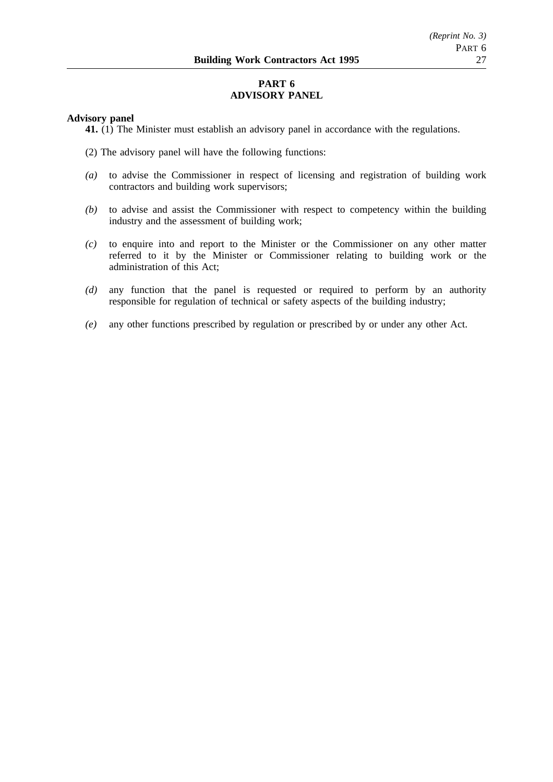# **PART 6 ADVISORY PANEL**

### **Advisory panel**

**41.** (1) The Minister must establish an advisory panel in accordance with the regulations.

- (2) The advisory panel will have the following functions:
- *(a)* to advise the Commissioner in respect of licensing and registration of building work contractors and building work supervisors;
- *(b)* to advise and assist the Commissioner with respect to competency within the building industry and the assessment of building work;
- *(c)* to enquire into and report to the Minister or the Commissioner on any other matter referred to it by the Minister or Commissioner relating to building work or the administration of this Act;
- *(d)* any function that the panel is requested or required to perform by an authority responsible for regulation of technical or safety aspects of the building industry;
- *(e)* any other functions prescribed by regulation or prescribed by or under any other Act.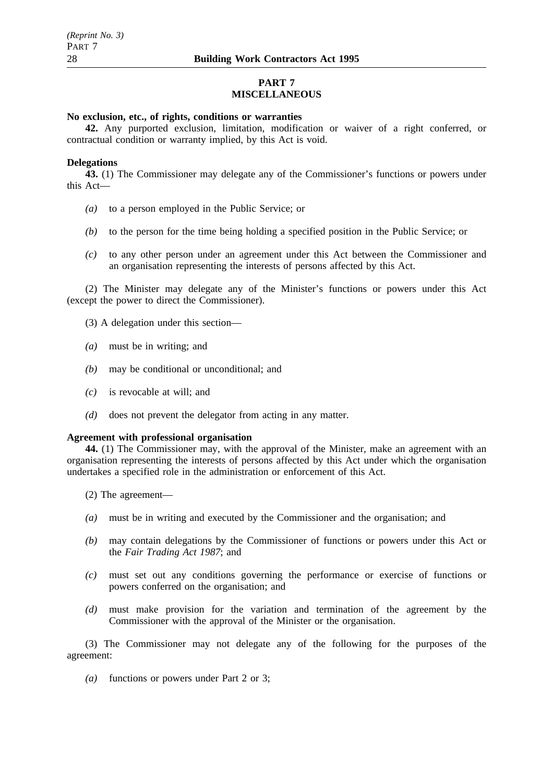# **PART 7 MISCELLANEOUS**

### **No exclusion, etc., of rights, conditions or warranties**

**42.** Any purported exclusion, limitation, modification or waiver of a right conferred, or contractual condition or warranty implied, by this Act is void.

#### **Delegations**

**43.** (1) The Commissioner may delegate any of the Commissioner's functions or powers under this Act—

- *(a)* to a person employed in the Public Service; or
- *(b)* to the person for the time being holding a specified position in the Public Service; or
- *(c)* to any other person under an agreement under this Act between the Commissioner and an organisation representing the interests of persons affected by this Act.

(2) The Minister may delegate any of the Minister's functions or powers under this Act (except the power to direct the Commissioner).

- (3) A delegation under this section—
- *(a)* must be in writing; and
- *(b)* may be conditional or unconditional; and
- *(c)* is revocable at will; and
- *(d)* does not prevent the delegator from acting in any matter.

#### **Agreement with professional organisation**

**44.** (1) The Commissioner may, with the approval of the Minister, make an agreement with an organisation representing the interests of persons affected by this Act under which the organisation undertakes a specified role in the administration or enforcement of this Act.

- (2) The agreement—
- *(a)* must be in writing and executed by the Commissioner and the organisation; and
- *(b)* may contain delegations by the Commissioner of functions or powers under this Act or the *Fair Trading Act 1987*; and
- *(c)* must set out any conditions governing the performance or exercise of functions or powers conferred on the organisation; and
- *(d)* must make provision for the variation and termination of the agreement by the Commissioner with the approval of the Minister or the organisation.

(3) The Commissioner may not delegate any of the following for the purposes of the agreement:

*(a)* functions or powers under Part 2 or 3;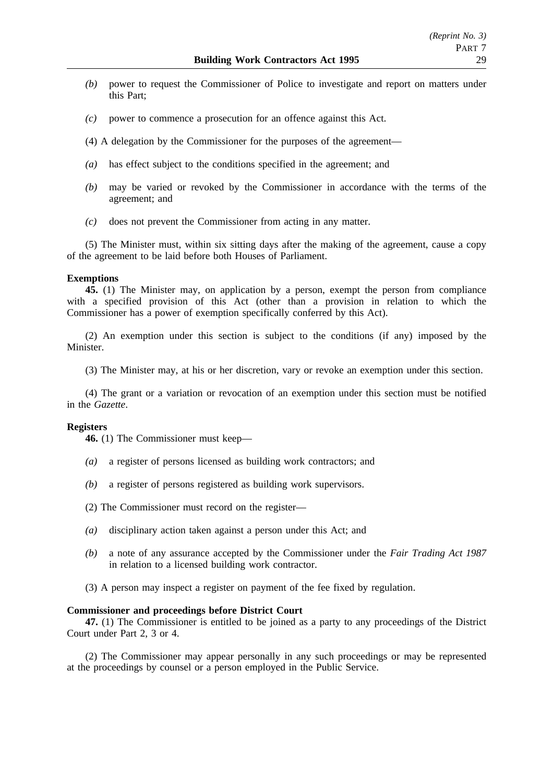- *(b)* power to request the Commissioner of Police to investigate and report on matters under this Part;
- *(c)* power to commence a prosecution for an offence against this Act.
- (4) A delegation by the Commissioner for the purposes of the agreement—
- *(a)* has effect subject to the conditions specified in the agreement; and
- *(b)* may be varied or revoked by the Commissioner in accordance with the terms of the agreement; and
- *(c)* does not prevent the Commissioner from acting in any matter.

(5) The Minister must, within six sitting days after the making of the agreement, cause a copy of the agreement to be laid before both Houses of Parliament.

#### **Exemptions**

**45.** (1) The Minister may, on application by a person, exempt the person from compliance with a specified provision of this Act (other than a provision in relation to which the Commissioner has a power of exemption specifically conferred by this Act).

(2) An exemption under this section is subject to the conditions (if any) imposed by the Minister.

(3) The Minister may, at his or her discretion, vary or revoke an exemption under this section.

(4) The grant or a variation or revocation of an exemption under this section must be notified in the *Gazette*.

#### **Registers**

**46.** (1) The Commissioner must keep—

- *(a)* a register of persons licensed as building work contractors; and
- *(b)* a register of persons registered as building work supervisors.
- (2) The Commissioner must record on the register—
- *(a)* disciplinary action taken against a person under this Act; and
- *(b)* a note of any assurance accepted by the Commissioner under the *Fair Trading Act 1987* in relation to a licensed building work contractor.
- (3) A person may inspect a register on payment of the fee fixed by regulation.

#### **Commissioner and proceedings before District Court**

**47.** (1) The Commissioner is entitled to be joined as a party to any proceedings of the District Court under Part 2, 3 or 4.

(2) The Commissioner may appear personally in any such proceedings or may be represented at the proceedings by counsel or a person employed in the Public Service.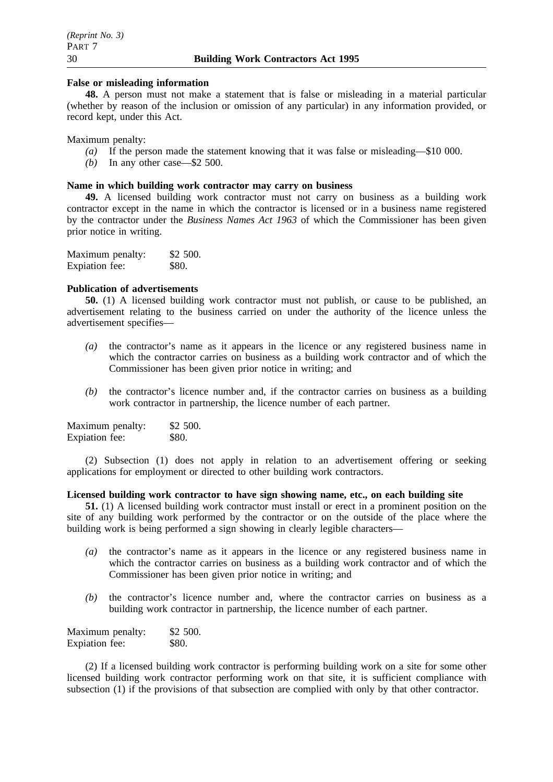#### **False or misleading information**

**48.** A person must not make a statement that is false or misleading in a material particular (whether by reason of the inclusion or omission of any particular) in any information provided, or record kept, under this Act.

Maximum penalty:

- *(a)* If the person made the statement knowing that it was false or misleading—\$10 000.
- *(b)* In any other case—\$2 500.

#### **Name in which building work contractor may carry on business**

**49.** A licensed building work contractor must not carry on business as a building work contractor except in the name in which the contractor is licensed or in a business name registered by the contractor under the *Business Names Act 1963* of which the Commissioner has been given prior notice in writing.

| Maximum penalty: | \$2 500. |
|------------------|----------|
| Expiation fee:   | \$80.    |

## **Publication of advertisements**

**50.** (1) A licensed building work contractor must not publish, or cause to be published, an advertisement relating to the business carried on under the authority of the licence unless the advertisement specifies—

- *(a)* the contractor's name as it appears in the licence or any registered business name in which the contractor carries on business as a building work contractor and of which the Commissioner has been given prior notice in writing; and
- *(b)* the contractor's licence number and, if the contractor carries on business as a building work contractor in partnership, the licence number of each partner.

| Maximum penalty: | \$2 500. |
|------------------|----------|
| Expiation fee:   | \$80.    |

(2) Subsection (1) does not apply in relation to an advertisement offering or seeking applications for employment or directed to other building work contractors.

### **Licensed building work contractor to have sign showing name, etc., on each building site**

**51.** (1) A licensed building work contractor must install or erect in a prominent position on the site of any building work performed by the contractor or on the outside of the place where the building work is being performed a sign showing in clearly legible characters—

- *(a)* the contractor's name as it appears in the licence or any registered business name in which the contractor carries on business as a building work contractor and of which the Commissioner has been given prior notice in writing; and
- *(b)* the contractor's licence number and, where the contractor carries on business as a building work contractor in partnership, the licence number of each partner.

| Maximum penalty: | \$2,500.     |
|------------------|--------------|
| Expiation fee:   | <b>\$80.</b> |

(2) If a licensed building work contractor is performing building work on a site for some other licensed building work contractor performing work on that site, it is sufficient compliance with subsection (1) if the provisions of that subsection are complied with only by that other contractor.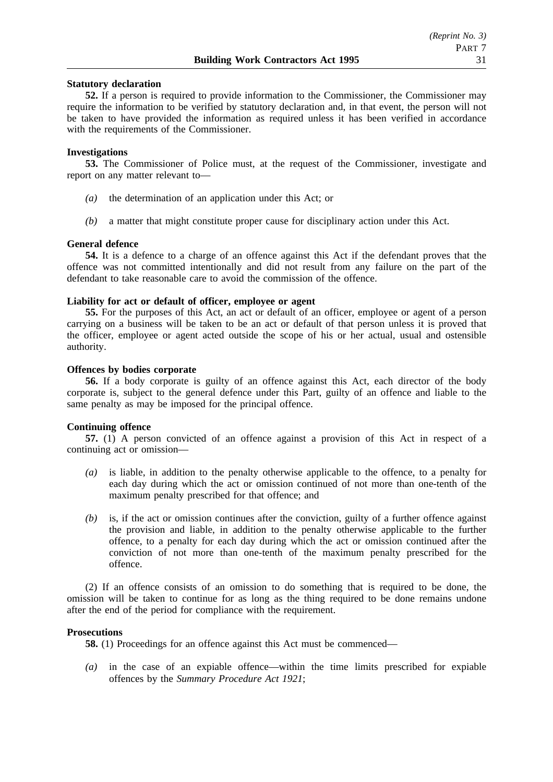### **Statutory declaration**

**52.** If a person is required to provide information to the Commissioner, the Commissioner may require the information to be verified by statutory declaration and, in that event, the person will not be taken to have provided the information as required unless it has been verified in accordance with the requirements of the Commissioner.

#### **Investigations**

**53.** The Commissioner of Police must, at the request of the Commissioner, investigate and report on any matter relevant to—

- *(a)* the determination of an application under this Act; or
- *(b)* a matter that might constitute proper cause for disciplinary action under this Act.

#### **General defence**

**54.** It is a defence to a charge of an offence against this Act if the defendant proves that the offence was not committed intentionally and did not result from any failure on the part of the defendant to take reasonable care to avoid the commission of the offence.

# **Liability for act or default of officer, employee or agent**

**55.** For the purposes of this Act, an act or default of an officer, employee or agent of a person carrying on a business will be taken to be an act or default of that person unless it is proved that the officer, employee or agent acted outside the scope of his or her actual, usual and ostensible authority.

#### **Offences by bodies corporate**

**56.** If a body corporate is guilty of an offence against this Act, each director of the body corporate is, subject to the general defence under this Part, guilty of an offence and liable to the same penalty as may be imposed for the principal offence.

#### **Continuing offence**

**57.** (1) A person convicted of an offence against a provision of this Act in respect of a continuing act or omission—

- *(a)* is liable, in addition to the penalty otherwise applicable to the offence, to a penalty for each day during which the act or omission continued of not more than one-tenth of the maximum penalty prescribed for that offence; and
- *(b)* is, if the act or omission continues after the conviction, guilty of a further offence against the provision and liable, in addition to the penalty otherwise applicable to the further offence, to a penalty for each day during which the act or omission continued after the conviction of not more than one-tenth of the maximum penalty prescribed for the offence.

(2) If an offence consists of an omission to do something that is required to be done, the omission will be taken to continue for as long as the thing required to be done remains undone after the end of the period for compliance with the requirement.

#### **Prosecutions**

**58.** (1) Proceedings for an offence against this Act must be commenced—

*(a)* in the case of an expiable offence—within the time limits prescribed for expiable offences by the *Summary Procedure Act 1921*;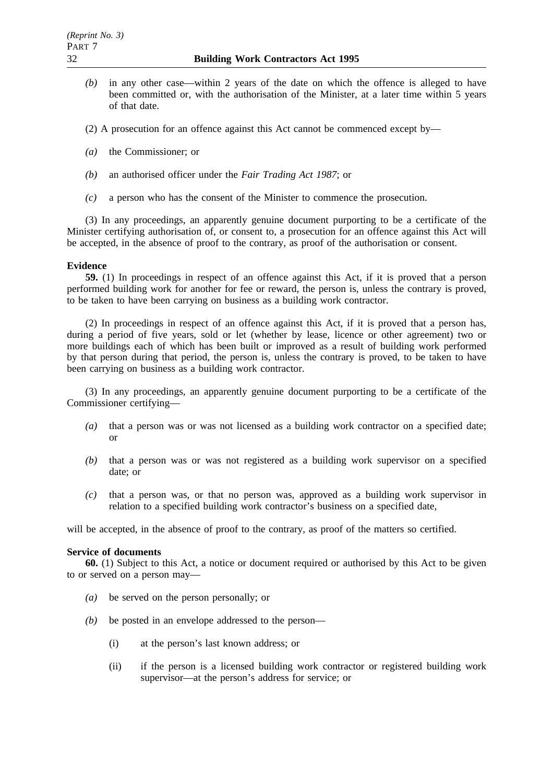*(b)* in any other case—within 2 years of the date on which the offence is alleged to have been committed or, with the authorisation of the Minister, at a later time within 5 years of that date.

(2) A prosecution for an offence against this Act cannot be commenced except by—

- *(a)* the Commissioner; or
- *(b)* an authorised officer under the *Fair Trading Act 1987*; or
- *(c)* a person who has the consent of the Minister to commence the prosecution.

(3) In any proceedings, an apparently genuine document purporting to be a certificate of the Minister certifying authorisation of, or consent to, a prosecution for an offence against this Act will be accepted, in the absence of proof to the contrary, as proof of the authorisation or consent.

### **Evidence**

**59.** (1) In proceedings in respect of an offence against this Act, if it is proved that a person performed building work for another for fee or reward, the person is, unless the contrary is proved, to be taken to have been carrying on business as a building work contractor.

(2) In proceedings in respect of an offence against this Act, if it is proved that a person has, during a period of five years, sold or let (whether by lease, licence or other agreement) two or more buildings each of which has been built or improved as a result of building work performed by that person during that period, the person is, unless the contrary is proved, to be taken to have been carrying on business as a building work contractor.

(3) In any proceedings, an apparently genuine document purporting to be a certificate of the Commissioner certifying—

- *(a)* that a person was or was not licensed as a building work contractor on a specified date; or
- *(b)* that a person was or was not registered as a building work supervisor on a specified date; or
- *(c)* that a person was, or that no person was, approved as a building work supervisor in relation to a specified building work contractor's business on a specified date,

will be accepted, in the absence of proof to the contrary, as proof of the matters so certified.

### **Service of documents**

**60.** (1) Subject to this Act, a notice or document required or authorised by this Act to be given to or served on a person may—

- *(a)* be served on the person personally; or
- *(b)* be posted in an envelope addressed to the person—
	- (i) at the person's last known address; or
	- (ii) if the person is a licensed building work contractor or registered building work supervisor—at the person's address for service; or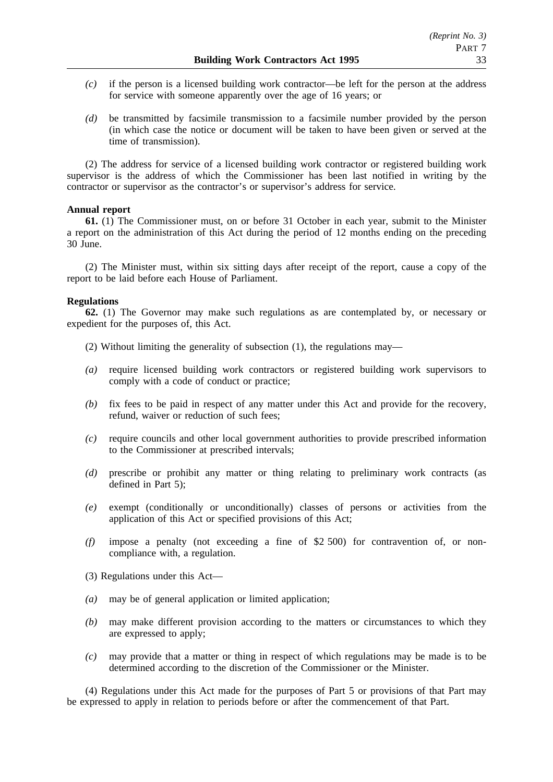- *(c)* if the person is a licensed building work contractor—be left for the person at the address for service with someone apparently over the age of 16 years; or
- *(d)* be transmitted by facsimile transmission to a facsimile number provided by the person (in which case the notice or document will be taken to have been given or served at the time of transmission).

(2) The address for service of a licensed building work contractor or registered building work supervisor is the address of which the Commissioner has been last notified in writing by the contractor or supervisor as the contractor's or supervisor's address for service.

### **Annual report**

**61.** (1) The Commissioner must, on or before 31 October in each year, submit to the Minister a report on the administration of this Act during the period of 12 months ending on the preceding 30 June.

(2) The Minister must, within six sitting days after receipt of the report, cause a copy of the report to be laid before each House of Parliament.

### **Regulations**

**62.** (1) The Governor may make such regulations as are contemplated by, or necessary or expedient for the purposes of, this Act.

- (2) Without limiting the generality of subsection (1), the regulations may—
- *(a)* require licensed building work contractors or registered building work supervisors to comply with a code of conduct or practice;
- *(b)* fix fees to be paid in respect of any matter under this Act and provide for the recovery, refund, waiver or reduction of such fees;
- *(c)* require councils and other local government authorities to provide prescribed information to the Commissioner at prescribed intervals;
- *(d)* prescribe or prohibit any matter or thing relating to preliminary work contracts (as defined in Part 5);
- *(e)* exempt (conditionally or unconditionally) classes of persons or activities from the application of this Act or specified provisions of this Act;
- *(f)* impose a penalty (not exceeding a fine of \$2 500) for contravention of, or noncompliance with, a regulation.
- (3) Regulations under this Act—
- *(a)* may be of general application or limited application;
- *(b)* may make different provision according to the matters or circumstances to which they are expressed to apply;
- *(c)* may provide that a matter or thing in respect of which regulations may be made is to be determined according to the discretion of the Commissioner or the Minister.

(4) Regulations under this Act made for the purposes of Part 5 or provisions of that Part may be expressed to apply in relation to periods before or after the commencement of that Part.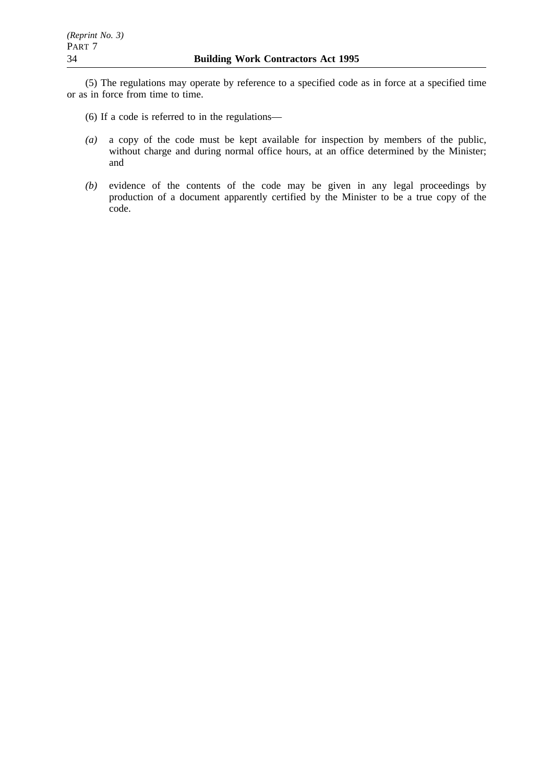(5) The regulations may operate by reference to a specified code as in force at a specified time or as in force from time to time.

- (6) If a code is referred to in the regulations—
- *(a)* a copy of the code must be kept available for inspection by members of the public, without charge and during normal office hours, at an office determined by the Minister; and
- *(b)* evidence of the contents of the code may be given in any legal proceedings by production of a document apparently certified by the Minister to be a true copy of the code.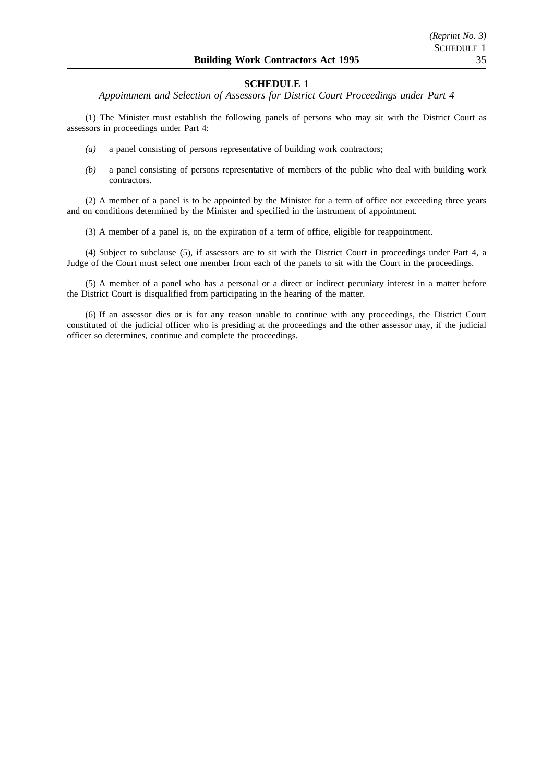*Appointment and Selection of Assessors for District Court Proceedings under Part 4*

(1) The Minister must establish the following panels of persons who may sit with the District Court as assessors in proceedings under Part 4:

- *(a)* a panel consisting of persons representative of building work contractors;
- *(b)* a panel consisting of persons representative of members of the public who deal with building work contractors.

(2) A member of a panel is to be appointed by the Minister for a term of office not exceeding three years and on conditions determined by the Minister and specified in the instrument of appointment.

(3) A member of a panel is, on the expiration of a term of office, eligible for reappointment.

(4) Subject to subclause (5), if assessors are to sit with the District Court in proceedings under Part 4, a Judge of the Court must select one member from each of the panels to sit with the Court in the proceedings.

(5) A member of a panel who has a personal or a direct or indirect pecuniary interest in a matter before the District Court is disqualified from participating in the hearing of the matter.

(6) If an assessor dies or is for any reason unable to continue with any proceedings, the District Court constituted of the judicial officer who is presiding at the proceedings and the other assessor may, if the judicial officer so determines, continue and complete the proceedings.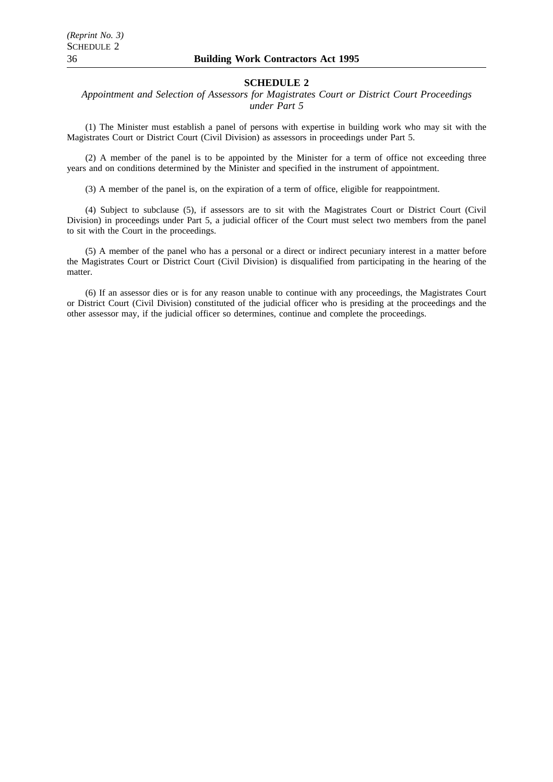*Appointment and Selection of Assessors for Magistrates Court or District Court Proceedings under Part 5*

(1) The Minister must establish a panel of persons with expertise in building work who may sit with the Magistrates Court or District Court (Civil Division) as assessors in proceedings under Part 5.

(2) A member of the panel is to be appointed by the Minister for a term of office not exceeding three years and on conditions determined by the Minister and specified in the instrument of appointment.

(3) A member of the panel is, on the expiration of a term of office, eligible for reappointment.

(4) Subject to subclause (5), if assessors are to sit with the Magistrates Court or District Court (Civil Division) in proceedings under Part 5, a judicial officer of the Court must select two members from the panel to sit with the Court in the proceedings.

(5) A member of the panel who has a personal or a direct or indirect pecuniary interest in a matter before the Magistrates Court or District Court (Civil Division) is disqualified from participating in the hearing of the matter.

(6) If an assessor dies or is for any reason unable to continue with any proceedings, the Magistrates Court or District Court (Civil Division) constituted of the judicial officer who is presiding at the proceedings and the other assessor may, if the judicial officer so determines, continue and complete the proceedings.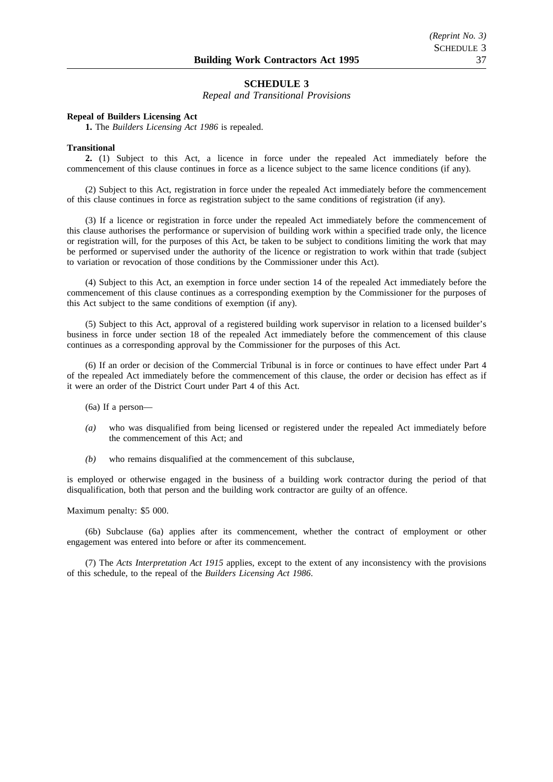*Repeal and Transitional Provisions*

#### **Repeal of Builders Licensing Act**

**1.** The *Builders Licensing Act 1986* is repealed.

#### **Transitional**

**2.** (1) Subject to this Act, a licence in force under the repealed Act immediately before the commencement of this clause continues in force as a licence subject to the same licence conditions (if any).

(2) Subject to this Act, registration in force under the repealed Act immediately before the commencement of this clause continues in force as registration subject to the same conditions of registration (if any).

(3) If a licence or registration in force under the repealed Act immediately before the commencement of this clause authorises the performance or supervision of building work within a specified trade only, the licence or registration will, for the purposes of this Act, be taken to be subject to conditions limiting the work that may be performed or supervised under the authority of the licence or registration to work within that trade (subject to variation or revocation of those conditions by the Commissioner under this Act).

(4) Subject to this Act, an exemption in force under section 14 of the repealed Act immediately before the commencement of this clause continues as a corresponding exemption by the Commissioner for the purposes of this Act subject to the same conditions of exemption (if any).

(5) Subject to this Act, approval of a registered building work supervisor in relation to a licensed builder's business in force under section 18 of the repealed Act immediately before the commencement of this clause continues as a corresponding approval by the Commissioner for the purposes of this Act.

(6) If an order or decision of the Commercial Tribunal is in force or continues to have effect under Part 4 of the repealed Act immediately before the commencement of this clause, the order or decision has effect as if it were an order of the District Court under Part 4 of this Act.

(6a) If a person—

- *(a)* who was disqualified from being licensed or registered under the repealed Act immediately before the commencement of this Act; and
- *(b)* who remains disqualified at the commencement of this subclause,

is employed or otherwise engaged in the business of a building work contractor during the period of that disqualification, both that person and the building work contractor are guilty of an offence.

Maximum penalty: \$5 000.

(6b) Subclause (6a) applies after its commencement, whether the contract of employment or other engagement was entered into before or after its commencement.

(7) The *Acts Interpretation Act 1915* applies, except to the extent of any inconsistency with the provisions of this schedule, to the repeal of the *Builders Licensing Act 1986*.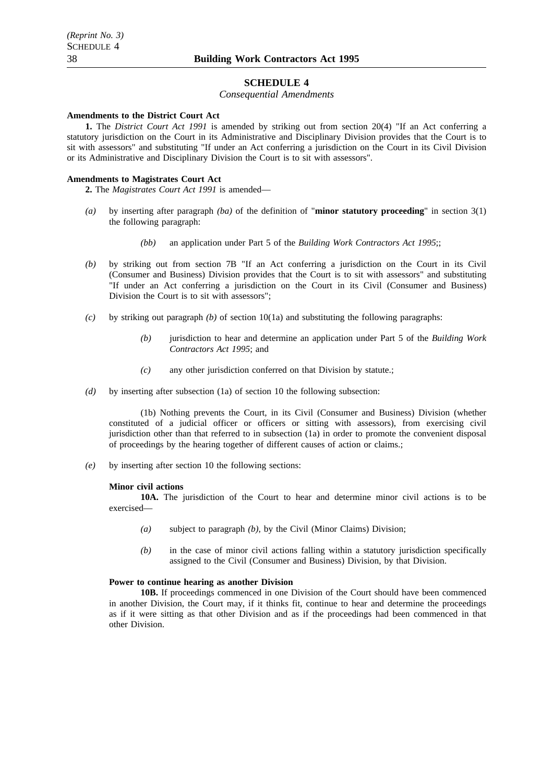#### *Consequential Amendments*

#### **Amendments to the District Court Act**

**1.** The *District Court Act 1991* is amended by striking out from section 20(4) "If an Act conferring a statutory jurisdiction on the Court in its Administrative and Disciplinary Division provides that the Court is to sit with assessors" and substituting "If under an Act conferring a jurisdiction on the Court in its Civil Division or its Administrative and Disciplinary Division the Court is to sit with assessors".

#### **Amendments to Magistrates Court Act**

**2.** The *Magistrates Court Act 1991* is amended—

- *(a)* by inserting after paragraph *(ba)* of the definition of "**minor statutory proceeding**" in section 3(1) the following paragraph:
	- *(bb)* an application under Part 5 of the *Building Work Contractors Act 1995*;;
- *(b)* by striking out from section 7B "If an Act conferring a jurisdiction on the Court in its Civil (Consumer and Business) Division provides that the Court is to sit with assessors" and substituting "If under an Act conferring a jurisdiction on the Court in its Civil (Consumer and Business) Division the Court is to sit with assessors";
- *(c)* by striking out paragraph *(b)* of section 10(1a) and substituting the following paragraphs:
	- *(b)* jurisdiction to hear and determine an application under Part 5 of the *Building Work Contractors Act 1995*; and
	- *(c)* any other jurisdiction conferred on that Division by statute.;
- *(d)* by inserting after subsection (1a) of section 10 the following subsection:

(1b) Nothing prevents the Court, in its Civil (Consumer and Business) Division (whether constituted of a judicial officer or officers or sitting with assessors), from exercising civil jurisdiction other than that referred to in subsection (1a) in order to promote the convenient disposal of proceedings by the hearing together of different causes of action or claims.;

*(e)* by inserting after section 10 the following sections:

#### **Minor civil actions**

**10A.** The jurisdiction of the Court to hear and determine minor civil actions is to be exercised—

- *(a)* subject to paragraph *(b)*, by the Civil (Minor Claims) Division;
- *(b)* in the case of minor civil actions falling within a statutory jurisdiction specifically assigned to the Civil (Consumer and Business) Division, by that Division.

#### **Power to continue hearing as another Division**

**10B.** If proceedings commenced in one Division of the Court should have been commenced in another Division, the Court may, if it thinks fit, continue to hear and determine the proceedings as if it were sitting as that other Division and as if the proceedings had been commenced in that other Division.